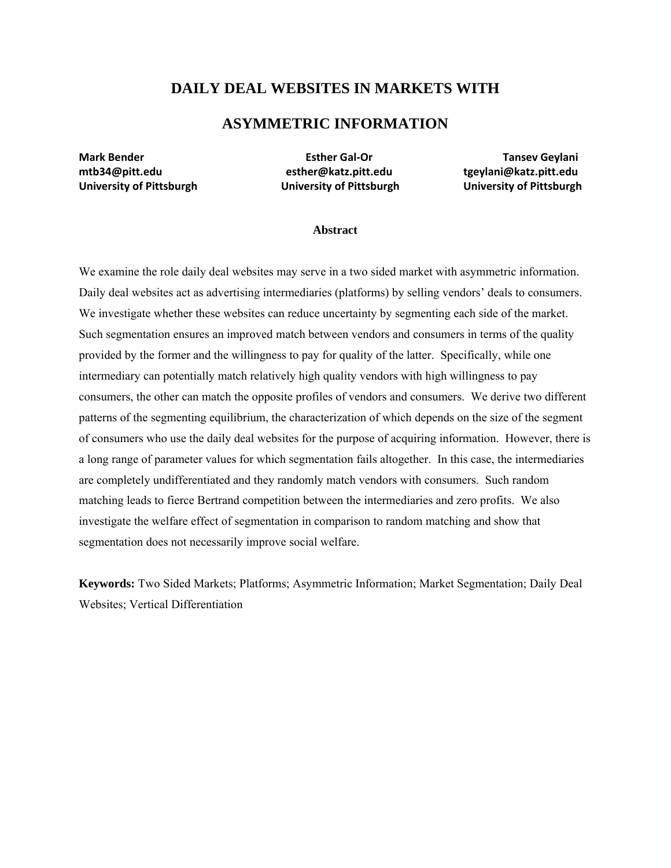# **DAILY DEAL WEBSITES IN MARKETS WITH**

# **ASYMMETRIC INFORMATION**

**Mark Bender Esther Gal‐Or Tansev Geylani mtb34@pitt.edu esther@katz.pitt.edu tgeylani@katz.pitt.edu University of Pittsburgh University of Pittsburgh University of Pittsburgh**

#### **Abstract**

We examine the role daily deal websites may serve in a two sided market with asymmetric information. Daily deal websites act as advertising intermediaries (platforms) by selling vendors' deals to consumers. We investigate whether these websites can reduce uncertainty by segmenting each side of the market. Such segmentation ensures an improved match between vendors and consumers in terms of the quality provided by the former and the willingness to pay for quality of the latter. Specifically, while one intermediary can potentially match relatively high quality vendors with high willingness to pay consumers, the other can match the opposite profiles of vendors and consumers. We derive two different patterns of the segmenting equilibrium, the characterization of which depends on the size of the segment of consumers who use the daily deal websites for the purpose of acquiring information. However, there is a long range of parameter values for which segmentation fails altogether. In this case, the intermediaries are completely undifferentiated and they randomly match vendors with consumers. Such random matching leads to fierce Bertrand competition between the intermediaries and zero profits. We also investigate the welfare effect of segmentation in comparison to random matching and show that segmentation does not necessarily improve social welfare.

**Keywords:** Two Sided Markets; Platforms; Asymmetric Information; Market Segmentation; Daily Deal Websites; Vertical Differentiation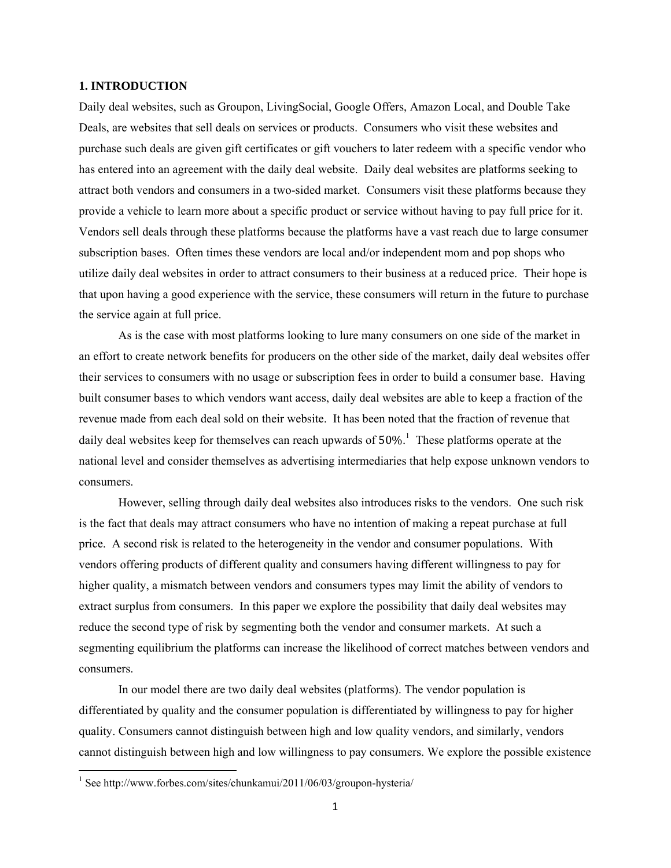#### **1. INTRODUCTION**

Daily deal websites, such as Groupon, LivingSocial, Google Offers, Amazon Local, and Double Take Deals, are websites that sell deals on services or products. Consumers who visit these websites and purchase such deals are given gift certificates or gift vouchers to later redeem with a specific vendor who has entered into an agreement with the daily deal website. Daily deal websites are platforms seeking to attract both vendors and consumers in a two-sided market. Consumers visit these platforms because they provide a vehicle to learn more about a specific product or service without having to pay full price for it. Vendors sell deals through these platforms because the platforms have a vast reach due to large consumer subscription bases. Often times these vendors are local and/or independent mom and pop shops who utilize daily deal websites in order to attract consumers to their business at a reduced price. Their hope is that upon having a good experience with the service, these consumers will return in the future to purchase the service again at full price.

As is the case with most platforms looking to lure many consumers on one side of the market in an effort to create network benefits for producers on the other side of the market, daily deal websites offer their services to consumers with no usage or subscription fees in order to build a consumer base. Having built consumer bases to which vendors want access, daily deal websites are able to keep a fraction of the revenue made from each deal sold on their website. It has been noted that the fraction of revenue that daily deal websites keep for themselves can reach upwards of  $50\%$ <sup>1</sup>. These platforms operate at the national level and consider themselves as advertising intermediaries that help expose unknown vendors to consumers.

However, selling through daily deal websites also introduces risks to the vendors. One such risk is the fact that deals may attract consumers who have no intention of making a repeat purchase at full price. A second risk is related to the heterogeneity in the vendor and consumer populations. With vendors offering products of different quality and consumers having different willingness to pay for higher quality, a mismatch between vendors and consumers types may limit the ability of vendors to extract surplus from consumers. In this paper we explore the possibility that daily deal websites may reduce the second type of risk by segmenting both the vendor and consumer markets. At such a segmenting equilibrium the platforms can increase the likelihood of correct matches between vendors and consumers.

In our model there are two daily deal websites (platforms). The vendor population is differentiated by quality and the consumer population is differentiated by willingness to pay for higher quality. Consumers cannot distinguish between high and low quality vendors, and similarly, vendors cannot distinguish between high and low willingness to pay consumers. We explore the possible existence

<sup>&</sup>lt;sup>1</sup> See http://www.forbes.com/sites/chunkamui/2011/06/03/groupon-hysteria/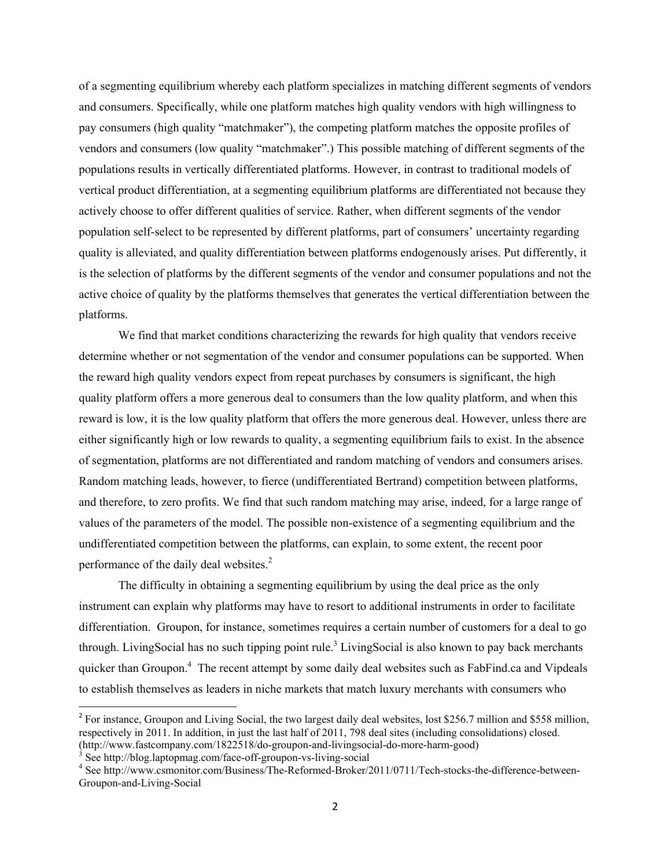of a segmenting equilibrium whereby each platform specializes in matching different segments of vendors and consumers. Specifically, while one platform matches high quality vendors with high willingness to pay consumers (high quality "matchmaker"), the competing platform matches the opposite profiles of vendors and consumers (low quality "matchmaker".) This possible matching of different segments of the populations results in vertically differentiated platforms. However, in contrast to traditional models of vertical product differentiation, at a segmenting equilibrium platforms are differentiated not because they actively choose to offer different qualities of service. Rather, when different segments of the vendor population self-select to be represented by different platforms, part of consumers' uncertainty regarding quality is alleviated, and quality differentiation between platforms endogenously arises. Put differently, it is the selection of platforms by the different segments of the vendor and consumer populations and not the active choice of quality by the platforms themselves that generates the vertical differentiation between the platforms.

We find that market conditions characterizing the rewards for high quality that vendors receive determine whether or not segmentation of the vendor and consumer populations can be supported. When the reward high quality vendors expect from repeat purchases by consumers is significant, the high quality platform offers a more generous deal to consumers than the low quality platform, and when this reward is low, it is the low quality platform that offers the more generous deal. However, unless there are either significantly high or low rewards to quality, a segmenting equilibrium fails to exist. In the absence of segmentation, platforms are not differentiated and random matching of vendors and consumers arises. Random matching leads, however, to fierce (undifferentiated Bertrand) competition between platforms, and therefore, to zero profits. We find that such random matching may arise, indeed, for a large range of values of the parameters of the model. The possible non-existence of a segmenting equilibrium and the undifferentiated competition between the platforms, can explain, to some extent, the recent poor performance of the daily deal websites.<sup>2</sup>

The difficulty in obtaining a segmenting equilibrium by using the deal price as the only instrument can explain why platforms may have to resort to additional instruments in order to facilitate differentiation. Groupon, for instance, sometimes requires a certain number of customers for a deal to go through. LivingSocial has no such tipping point rule.<sup>3</sup> LivingSocial is also known to pay back merchants quicker than Groupon.<sup>4</sup> The recent attempt by some daily deal websites such as FabFind.ca and Vipdeals to establish themselves as leaders in niche markets that match luxury merchants with consumers who

<sup>&</sup>lt;sup>2</sup> For instance, Groupon and Living Social, the two largest daily deal websites, lost \$256.7 million and \$558 million, respectively in 2011. In addition, in just the last half of 2011, 798 deal sites (including consolidations) closed. (http://www.fastcompany.com/1822518/do-groupon-and-livingsocial-do-more-harm-good) <sup>3</sup>

 $\frac{3}{3}$  See http://blog.laptopmag.com/face-off-groupon-vs-living-social

See http://www.csmonitor.com/Business/The-Reformed-Broker/2011/0711/Tech-stocks-the-difference-between-Groupon-and-Living-Social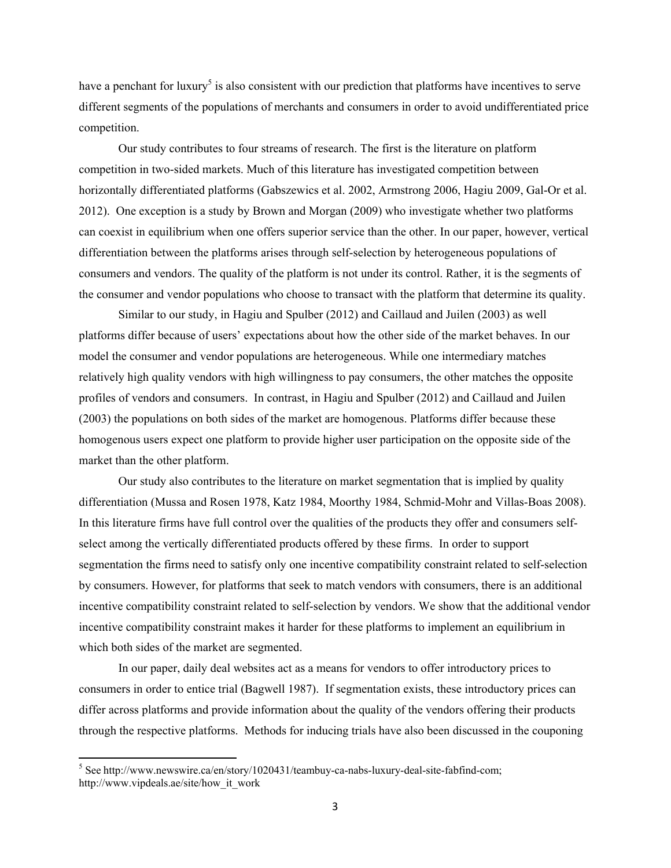have a penchant for luxury<sup>5</sup> is also consistent with our prediction that platforms have incentives to serve different segments of the populations of merchants and consumers in order to avoid undifferentiated price competition.

Our study contributes to four streams of research. The first is the literature on platform competition in two-sided markets. Much of this literature has investigated competition between horizontally differentiated platforms (Gabszewics et al. 2002, Armstrong 2006, Hagiu 2009, Gal-Or et al. 2012). One exception is a study by Brown and Morgan (2009) who investigate whether two platforms can coexist in equilibrium when one offers superior service than the other. In our paper, however, vertical differentiation between the platforms arises through self-selection by heterogeneous populations of consumers and vendors. The quality of the platform is not under its control. Rather, it is the segments of the consumer and vendor populations who choose to transact with the platform that determine its quality.

Similar to our study, in Hagiu and Spulber (2012) and Caillaud and Juilen (2003) as well platforms differ because of users' expectations about how the other side of the market behaves. In our model the consumer and vendor populations are heterogeneous. While one intermediary matches relatively high quality vendors with high willingness to pay consumers, the other matches the opposite profiles of vendors and consumers. In contrast, in Hagiu and Spulber (2012) and Caillaud and Juilen (2003) the populations on both sides of the market are homogenous. Platforms differ because these homogenous users expect one platform to provide higher user participation on the opposite side of the market than the other platform.

Our study also contributes to the literature on market segmentation that is implied by quality differentiation (Mussa and Rosen 1978, Katz 1984, Moorthy 1984, Schmid-Mohr and Villas-Boas 2008). In this literature firms have full control over the qualities of the products they offer and consumers selfselect among the vertically differentiated products offered by these firms. In order to support segmentation the firms need to satisfy only one incentive compatibility constraint related to self-selection by consumers. However, for platforms that seek to match vendors with consumers, there is an additional incentive compatibility constraint related to self-selection by vendors. We show that the additional vendor incentive compatibility constraint makes it harder for these platforms to implement an equilibrium in which both sides of the market are segmented.

In our paper, daily deal websites act as a means for vendors to offer introductory prices to consumers in order to entice trial (Bagwell 1987). If segmentation exists, these introductory prices can differ across platforms and provide information about the quality of the vendors offering their products through the respective platforms. Methods for inducing trials have also been discussed in the couponing

 $<sup>5</sup>$  See http://www.newswire.ca/en/story/1020431/teambuy-ca-nabs-luxury-deal-site-fabfind-com;</sup> http://www.vipdeals.ae/site/how\_it\_work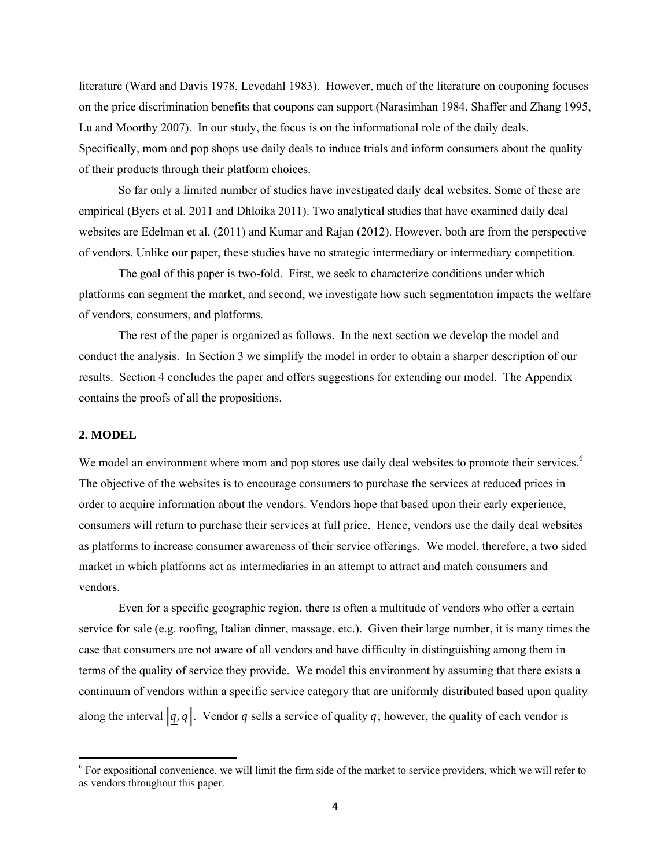literature (Ward and Davis 1978, Levedahl 1983). However, much of the literature on couponing focuses on the price discrimination benefits that coupons can support (Narasimhan 1984, Shaffer and Zhang 1995, Lu and Moorthy 2007). In our study, the focus is on the informational role of the daily deals. Specifically, mom and pop shops use daily deals to induce trials and inform consumers about the quality of their products through their platform choices.

So far only a limited number of studies have investigated daily deal websites. Some of these are empirical (Byers et al. 2011 and Dhloika 2011). Two analytical studies that have examined daily deal websites are Edelman et al. (2011) and Kumar and Rajan (2012). However, both are from the perspective of vendors. Unlike our paper, these studies have no strategic intermediary or intermediary competition.

The goal of this paper is two-fold. First, we seek to characterize conditions under which platforms can segment the market, and second, we investigate how such segmentation impacts the welfare of vendors, consumers, and platforms.

 The rest of the paper is organized as follows. In the next section we develop the model and conduct the analysis. In Section 3 we simplify the model in order to obtain a sharper description of our results. Section 4 concludes the paper and offers suggestions for extending our model. The Appendix contains the proofs of all the propositions.

# **2. MODEL**

We model an environment where mom and pop stores use daily deal websites to promote their services.<sup>6</sup> The objective of the websites is to encourage consumers to purchase the services at reduced prices in order to acquire information about the vendors. Vendors hope that based upon their early experience, consumers will return to purchase their services at full price. Hence, vendors use the daily deal websites as platforms to increase consumer awareness of their service offerings. We model, therefore, a two sided market in which platforms act as intermediaries in an attempt to attract and match consumers and vendors.

 Even for a specific geographic region, there is often a multitude of vendors who offer a certain service for sale (e.g. roofing, Italian dinner, massage, etc.). Given their large number, it is many times the case that consumers are not aware of all vendors and have difficulty in distinguishing among them in terms of the quality of service they provide. We model this environment by assuming that there exists a continuum of vendors within a specific service category that are uniformly distributed based upon quality along the interval  $\left[q, \overline{q}\right]$ . Vendor q sells a service of quality q; however, the quality of each vendor is

 $6$  For expositional convenience, we will limit the firm side of the market to service providers, which we will refer to as vendors throughout this paper.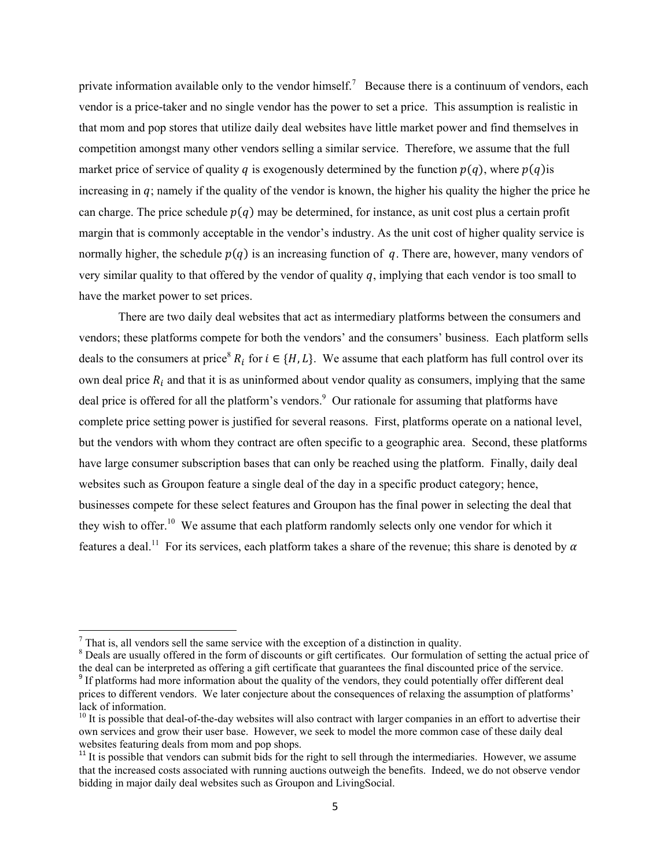private information available only to the vendor himself.<sup>7</sup> Because there is a continuum of vendors, each vendor is a price-taker and no single vendor has the power to set a price. This assumption is realistic in that mom and pop stores that utilize daily deal websites have little market power and find themselves in competition amongst many other vendors selling a similar service. Therefore, we assume that the full market price of service of quality q is exogenously determined by the function  $p(q)$ , where  $p(q)$  is increasing in  $q$ ; namely if the quality of the vendor is known, the higher his quality the higher the price he can charge. The price schedule  $p(q)$  may be determined, for instance, as unit cost plus a certain profit margin that is commonly acceptable in the vendor's industry. As the unit cost of higher quality service is normally higher, the schedule  $p(q)$  is an increasing function of q. There are, however, many vendors of very similar quality to that offered by the vendor of quality  $q$ , implying that each vendor is too small to have the market power to set prices.

There are two daily deal websites that act as intermediary platforms between the consumers and vendors; these platforms compete for both the vendors' and the consumers' business. Each platform sells deals to the consumers at price<sup>8</sup>  $R_i$  for  $i \in \{H, L\}$ . We assume that each platform has full control over its own deal price  $R_i$  and that it is as uninformed about vendor quality as consumers, implying that the same deal price is offered for all the platform's vendors.<sup>9</sup> Our rationale for assuming that platforms have complete price setting power is justified for several reasons. First, platforms operate on a national level, but the vendors with whom they contract are often specific to a geographic area. Second, these platforms have large consumer subscription bases that can only be reached using the platform. Finally, daily deal websites such as Groupon feature a single deal of the day in a specific product category; hence, businesses compete for these select features and Groupon has the final power in selecting the deal that they wish to offer.<sup>10</sup> We assume that each platform randomly selects only one vendor for which it features a deal.<sup>11</sup> For its services, each platform takes a share of the revenue; this share is denoted by  $\alpha$ 

 $\overline{a}$ <sup>7</sup> That is, all vendors sell the same service with the exception of a distinction in quality.

<sup>&</sup>lt;sup>8</sup> Deals are usually offered in the form of discounts or gift certificates. Our formulation of setting the actual price of the deal can be interpreted as offering a gift certificate that guarantees the final discounted price of the service.

<sup>&</sup>lt;sup>9</sup> If platforms had more information about the quality of the vendors, they could potentially offer different deal prices to different vendors. We later conjecture about the consequences of relaxing the assumption of platforms' lack of information.

 $10$  It is possible that deal-of-the-day websites will also contract with larger companies in an effort to advertise their own services and grow their user base. However, we seek to model the more common case of these daily deal websites featuring deals from mom and pop shops.

<sup>&</sup>lt;sup>11</sup> It is possible that vendors can submit bids for the right to sell through the intermediaries. However, we assume that the increased costs associated with running auctions outweigh the benefits. Indeed, we do not observe vendor bidding in major daily deal websites such as Groupon and LivingSocial.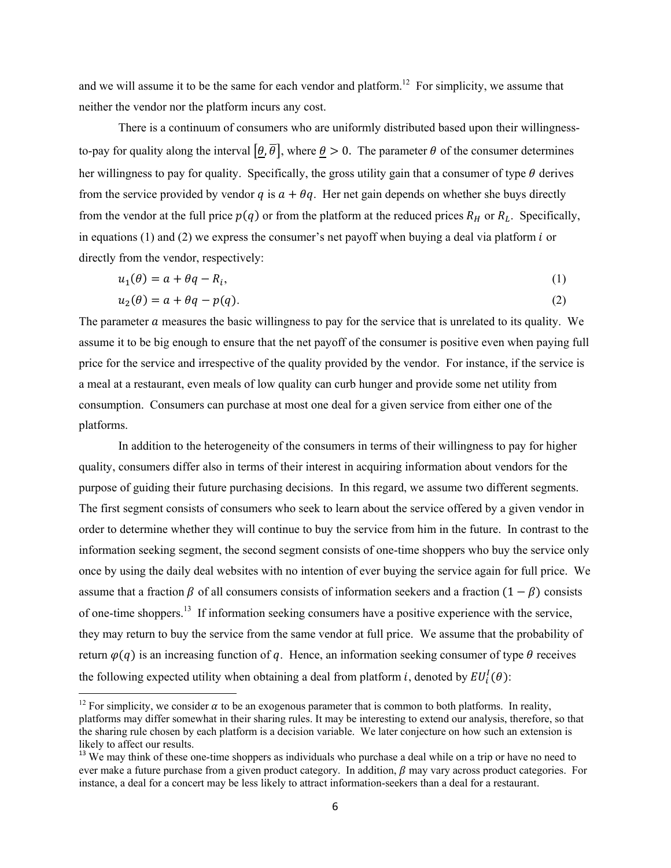and we will assume it to be the same for each vendor and platform.<sup>12</sup> For simplicity, we assume that neither the vendor nor the platform incurs any cost.

There is a continuum of consumers who are uniformly distributed based upon their willingnessto-pay for quality along the interval  $\left[\theta,\overline{\theta}\right]$ , where  $\theta > 0$ . The parameter  $\theta$  of the consumer determines her willingness to pay for quality. Specifically, the gross utility gain that a consumer of type  $\theta$  derives from the service provided by vendor  $q$  is  $a + \theta q$ . Her net gain depends on whether she buys directly from the vendor at the full price  $p(q)$  or from the platform at the reduced prices  $R_H$  or  $R_L$ . Specifically, in equations  $(1)$  and  $(2)$  we express the consumer's net payoff when buying a deal via platform *i* or directly from the vendor, respectively:

$$
u_1(\theta) = a + \theta q - R_i,\tag{1}
$$

$$
u_2(\theta) = a + \theta q - p(q). \tag{2}
$$

The parameter  $\alpha$  measures the basic willingness to pay for the service that is unrelated to its quality. We assume it to be big enough to ensure that the net payoff of the consumer is positive even when paying full price for the service and irrespective of the quality provided by the vendor. For instance, if the service is a meal at a restaurant, even meals of low quality can curb hunger and provide some net utility from consumption. Consumers can purchase at most one deal for a given service from either one of the platforms.

 In addition to the heterogeneity of the consumers in terms of their willingness to pay for higher quality, consumers differ also in terms of their interest in acquiring information about vendors for the purpose of guiding their future purchasing decisions. In this regard, we assume two different segments. The first segment consists of consumers who seek to learn about the service offered by a given vendor in order to determine whether they will continue to buy the service from him in the future. In contrast to the information seeking segment, the second segment consists of one-time shoppers who buy the service only once by using the daily deal websites with no intention of ever buying the service again for full price. We assume that a fraction  $\beta$  of all consumers consists of information seekers and a fraction  $(1 - \beta)$  consists of one-time shoppers.13 If information seeking consumers have a positive experience with the service, they may return to buy the service from the same vendor at full price. We assume that the probability of return  $\varphi(q)$  is an increasing function of q. Hence, an information seeking consumer of type  $\theta$  receives the following expected utility when obtaining a deal from platform *i*, denoted by  $EU_i^I(\theta)$ :

<sup>&</sup>lt;sup>12</sup> For simplicity, we consider  $\alpha$  to be an exogenous parameter that is common to both platforms. In reality, platforms may differ somewhat in their sharing rules. It may be interesting to extend our analysis, therefore, so that the sharing rule chosen by each platform is a decision variable. We later conjecture on how such an extension is likely to affect our results.

<sup>&</sup>lt;sup>13</sup> We may think of these one-time shoppers as individuals who purchase a deal while on a trip or have no need to ever make a future purchase from a given product category. In addition,  $\beta$  may vary across product categories. For instance, a deal for a concert may be less likely to attract information-seekers than a deal for a restaurant.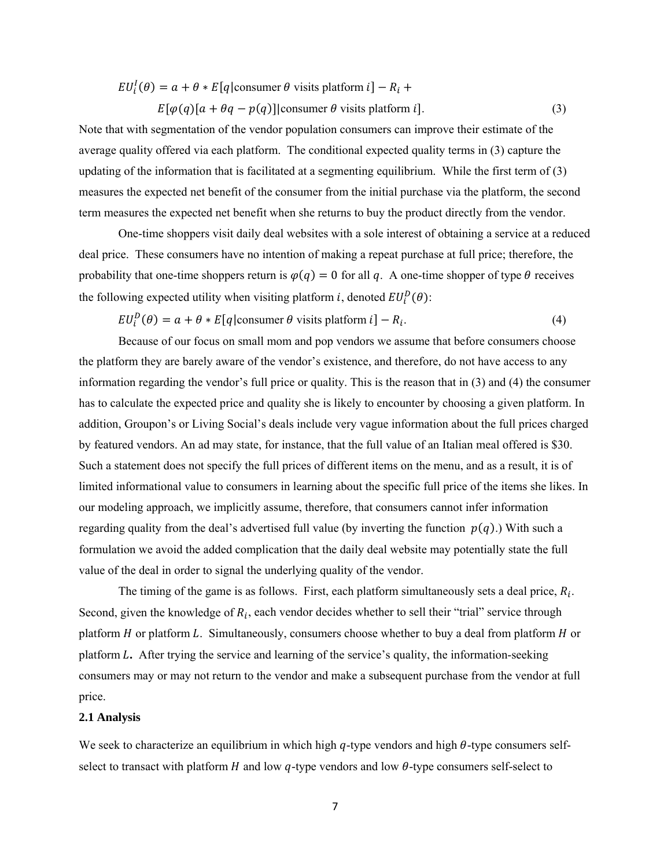$$
EU_i^I(\theta) = a + \theta * E[q|\text{consumer }\theta \text{ visits platform } i] - R_i +
$$
  

$$
E[\varphi(q)[a + \theta q - p(q)]|\text{consumer }\theta \text{ visits platform } i].
$$
 (3)

Note that with segmentation of the vendor population consumers can improve their estimate of the average quality offered via each platform. The conditional expected quality terms in (3) capture the updating of the information that is facilitated at a segmenting equilibrium. While the first term of (3) measures the expected net benefit of the consumer from the initial purchase via the platform, the second term measures the expected net benefit when she returns to buy the product directly from the vendor.

 One-time shoppers visit daily deal websites with a sole interest of obtaining a service at a reduced deal price. These consumers have no intention of making a repeat purchase at full price; therefore, the probability that one-time shoppers return is  $\varphi(q) = 0$  for all q. A one-time shopper of type  $\theta$  receives the following expected utility when visiting platform *i*, denoted  $EU_i^D(\theta)$ :

 $EU_i^D(\theta) = a + \theta * E[q]$ consumer  $\theta$  visits platform  $i] - R_i$ . (4)

Because of our focus on small mom and pop vendors we assume that before consumers choose the platform they are barely aware of the vendor's existence, and therefore, do not have access to any information regarding the vendor's full price or quality. This is the reason that in (3) and (4) the consumer has to calculate the expected price and quality she is likely to encounter by choosing a given platform. In addition, Groupon's or Living Social's deals include very vague information about the full prices charged by featured vendors. An ad may state, for instance, that the full value of an Italian meal offered is \$30. Such a statement does not specify the full prices of different items on the menu, and as a result, it is of limited informational value to consumers in learning about the specific full price of the items she likes. In our modeling approach, we implicitly assume, therefore, that consumers cannot infer information regarding quality from the deal's advertised full value (by inverting the function  $p(q)$ .) With such a formulation we avoid the added complication that the daily deal website may potentially state the full value of the deal in order to signal the underlying quality of the vendor.

The timing of the game is as follows. First, each platform simultaneously sets a deal price,  $R_i$ . Second, given the knowledge of  $R_i$ , each vendor decides whether to sell their "trial" service through platform  $H$  or platform  $L$ . Simultaneously, consumers choose whether to buy a deal from platform  $H$  or platform L. After trying the service and learning of the service's quality, the information-seeking consumers may or may not return to the vendor and make a subsequent purchase from the vendor at full price.

# **2.1 Analysis**

We seek to characterize an equilibrium in which high  $q$ -type vendors and high  $\theta$ -type consumers selfselect to transact with platform  $H$  and low  $q$ -type vendors and low  $\theta$ -type consumers self-select to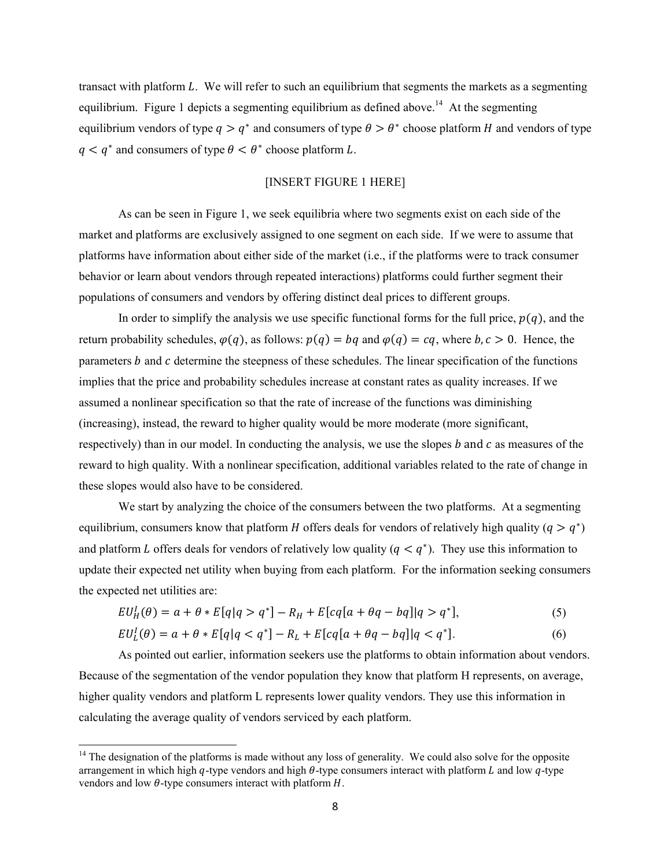transact with platform L. We will refer to such an equilibrium that segments the markets as a segmenting equilibrium. Figure 1 depicts a segmenting equilibrium as defined above.<sup>14</sup> At the segmenting equilibrium vendors of type  $q > q^*$  and consumers of type  $\theta > \theta^*$  choose platform H and vendors of type  $q < q^*$  and consumers of type  $\theta < \theta^*$  choose platform L.

# [INSERT FIGURE 1 HERE]

As can be seen in Figure 1, we seek equilibria where two segments exist on each side of the market and platforms are exclusively assigned to one segment on each side. If we were to assume that platforms have information about either side of the market (i.e., if the platforms were to track consumer behavior or learn about vendors through repeated interactions) platforms could further segment their populations of consumers and vendors by offering distinct deal prices to different groups.

In order to simplify the analysis we use specific functional forms for the full price,  $p(q)$ , and the return probability schedules,  $\varphi(q)$ , as follows:  $p(q) = bq$  and  $\varphi(q) = cq$ , where  $b, c > 0$ . Hence, the parameters  $b$  and  $c$  determine the steepness of these schedules. The linear specification of the functions implies that the price and probability schedules increase at constant rates as quality increases. If we assumed a nonlinear specification so that the rate of increase of the functions was diminishing (increasing), instead, the reward to higher quality would be more moderate (more significant, respectively) than in our model. In conducting the analysis, we use the slopes  $b$  and  $c$  as measures of the reward to high quality. With a nonlinear specification, additional variables related to the rate of change in these slopes would also have to be considered.

We start by analyzing the choice of the consumers between the two platforms. At a segmenting equilibrium, consumers know that platform *H* offers deals for vendors of relatively high quality ( $q > q^*$ ) and platform L offers deals for vendors of relatively low quality ( $q < q^*$ ). They use this information to update their expected net utility when buying from each platform. For the information seeking consumers the expected net utilities are:

$$
EU_H^I(\theta) = a + \theta * E[q|q > q^*] - R_H + E[cq[a + \theta q - bq]|q > q^*],
$$
\n<sup>(5)</sup>

$$
EU_L^I(\theta) = a + \theta * E[q|q < q^*] - R_L + E[cq[a + \theta q - bq]|q < q^*].\tag{6}
$$

 As pointed out earlier, information seekers use the platforms to obtain information about vendors. Because of the segmentation of the vendor population they know that platform H represents, on average, higher quality vendors and platform L represents lower quality vendors. They use this information in calculating the average quality of vendors serviced by each platform.

 $14$  The designation of the platforms is made without any loss of generality. We could also solve for the opposite arrangement in which high  $q$ -type vendors and high  $\theta$ -type consumers interact with platform L and low  $q$ -type vendors and low  $\theta$ -type consumers interact with platform  $H$ .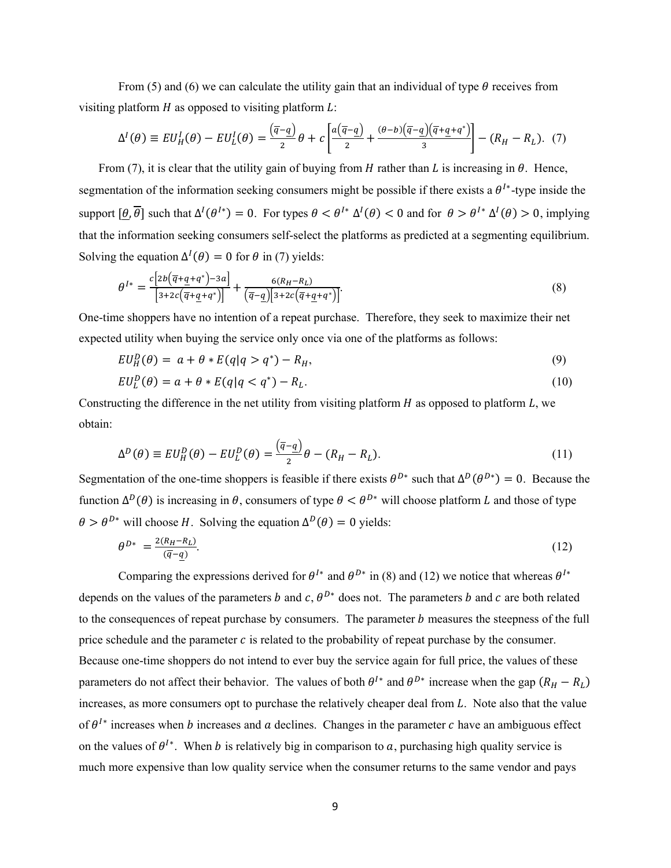From (5) and (6) we can calculate the utility gain that an individual of type  $\theta$  receives from visiting platform  $H$  as opposed to visiting platform  $L$ :

$$
\Delta^I(\theta) \equiv EU^I_H(\theta) - EU^I_L(\theta) = \frac{(\overline{q} - \underline{q})}{2}\theta + c \left[ \frac{a(\overline{q} - \underline{q})}{2} + \frac{(\theta - b)(\overline{q} - \underline{q})(\overline{q} + \underline{q} + q^*)}{3} \right] - (R_H - R_L). \tag{7}
$$

From (7), it is clear that the utility gain of buying from  $H$  rather than  $L$  is increasing in  $\theta$ . Hence, segmentation of the information seeking consumers might be possible if there exists a  $\theta^{I*}$ -type inside the support  $\left[\theta, \overline{\theta}\right]$  such that  $\Delta^I(\theta^{I*}) = 0$ . For types  $\theta < \theta^{I*} \Delta^I(\theta) < 0$  and for  $\theta > \theta^{I*} \Delta^I(\theta) > 0$ , implying that the information seeking consumers self-select the platforms as predicted at a segmenting equilibrium. Solving the equation  $\Delta^I(\theta) = 0$  for  $\theta$  in (7) yields:

$$
\theta^{I*} = \frac{c[2b(\overline{q} + \underline{q} + q^*) - 3a]}{[3 + 2c(\overline{q} + \underline{q} + q^*)]} + \frac{6(R_H - R_L)}{(\overline{q} - \underline{q})[3 + 2c(\overline{q} + \underline{q} + q^*)]}.
$$
\n(8)

One-time shoppers have no intention of a repeat purchase. Therefore, they seek to maximize their net expected utility when buying the service only once via one of the platforms as follows:

$$
EU_H^D(\theta) = a + \theta * E(q|q > q^*) - R_H,
$$
\n<sup>(9)</sup>

$$
EU_L^D(\theta) = a + \theta * E(q|q < q^*) - R_L. \tag{10}
$$

Constructing the difference in the net utility from visiting platform  $H$  as opposed to platform  $L$ , we obtain:

$$
\Delta^D(\theta) \equiv EU_H^D(\theta) - EU_L^D(\theta) = \frac{(\overline{q} - \underline{q})}{2}\theta - (R_H - R_L). \tag{11}
$$

Segmentation of the one-time shoppers is feasible if there exists  $\theta^{D*}$  such that  $\Delta^D(\theta^{D*}) = 0$ . Because the function  $\Delta^D(\theta)$  is increasing in  $\theta$ , consumers of type  $\theta < \theta^{D*}$  will choose platform L and those of type  $\theta > \theta^{D*}$  will choose H. Solving the equation  $\Delta^D(\theta) = 0$  yields:

$$
\theta^{D*} = \frac{2(R_H - R_L)}{(\overline{q} - \underline{q})}.\tag{12}
$$

Comparing the expressions derived for  $\theta^{I*}$  and  $\theta^{D*}$  in (8) and (12) we notice that whereas  $\theta^{I*}$ depends on the values of the parameters b and c,  $\theta^{D*}$  does not. The parameters b and c are both related to the consequences of repeat purchase by consumers. The parameter  $b$  measures the steepness of the full price schedule and the parameter  $c$  is related to the probability of repeat purchase by the consumer. Because one-time shoppers do not intend to ever buy the service again for full price, the values of these parameters do not affect their behavior. The values of both  $\theta^{I*}$  and  $\theta^{D*}$  increase when the gap  $(R_H - R_L)$ increases, as more consumers opt to purchase the relatively cheaper deal from  $L$ . Note also that the value of  $\theta^{I*}$  increases when b increases and a declines. Changes in the parameter c have an ambiguous effect on the values of  $\theta^{l*}$ . When *b* is relatively big in comparison to *a*, purchasing high quality service is much more expensive than low quality service when the consumer returns to the same vendor and pays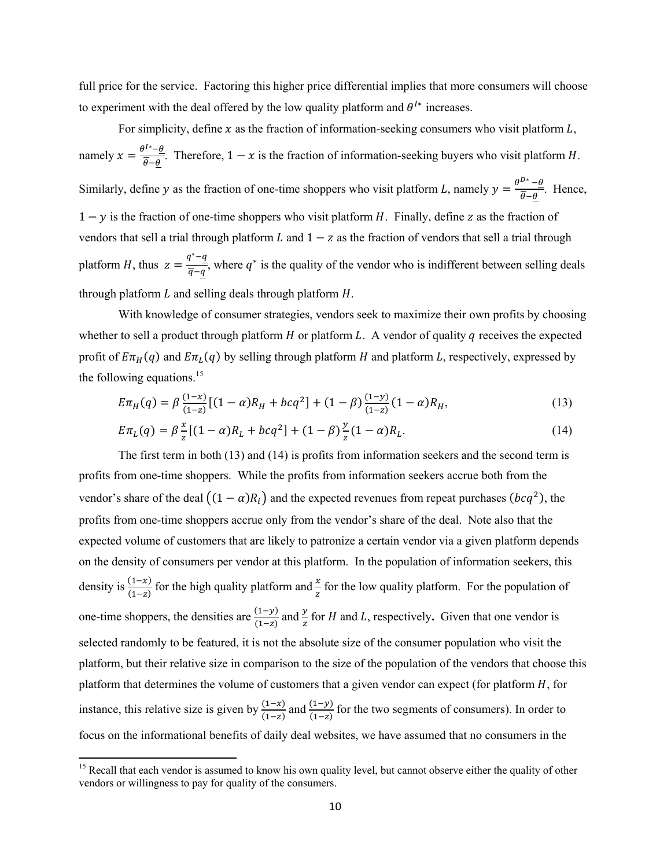full price for the service. Factoring this higher price differential implies that more consumers will choose to experiment with the deal offered by the low quality platform and  $\theta^{I*}$  increases.

For simplicity, define x as the fraction of information-seeking consumers who visit platform  $L$ , namely  $x = \frac{\theta^{1*} - \theta}{\theta - \theta}$ . Therefore,  $1 - x$  is the fraction of information-seeking buyers who visit platform *H*. Similarly, define y as the fraction of one-time shoppers who visit platform L, namely  $y = \frac{\theta^{D*} - \theta}{\theta - \theta}$ . Hence,  $1 - y$  is the fraction of one-time shoppers who visit platform H. Finally, define z as the fraction of vendors that sell a trial through platform  $L$  and  $1 - z$  as the fraction of vendors that sell a trial through platform *H*, thus  $z = \frac{q^*-q}{\overline{q}-q}$ , where  $q^*$  is the quality of the vendor who is indifferent between selling deals through platform  $L$  and selling deals through platform  $H$ .

With knowledge of consumer strategies, vendors seek to maximize their own profits by choosing whether to sell a product through platform  $H$  or platform  $L$ . A vendor of quality  $q$  receives the expected profit of  $E\pi_H(q)$  and  $E\pi_L(q)$  by selling through platform H and platform L, respectively, expressed by the following equations. $15$ 

$$
E\pi_H(q) = \beta \frac{(1-x)}{(1-z)} [(1-\alpha)R_H + bcq^2] + (1-\beta) \frac{(1-y)}{(1-z)} (1-\alpha)R_H,
$$
\n(13)

$$
E\pi_L(q) = \beta \frac{x}{z} [(1-\alpha)R_L + bcq^2] + (1-\beta) \frac{y}{z} (1-\alpha)R_L.
$$
 (14)

 The first term in both (13) and (14) is profits from information seekers and the second term is profits from one-time shoppers. While the profits from information seekers accrue both from the vendor's share of the deal  $((1 - \alpha)R_i)$  and the expected revenues from repeat purchases  $(bcq^2)$ , the profits from one-time shoppers accrue only from the vendor's share of the deal. Note also that the expected volume of customers that are likely to patronize a certain vendor via a given platform depends on the density of consumers per vendor at this platform. In the population of information seekers, this density is  $\frac{(1-x)}{(1-z)}$  for the high quality platform and  $\frac{x}{z}$  for the low quality platform. For the population of one-time shoppers, the densities are  $\frac{(1-y)}{(1-z)}$  and  $\frac{y}{z}$  for *H* and *L*, respectively. Given that one vendor is selected randomly to be featured, it is not the absolute size of the consumer population who visit the platform, but their relative size in comparison to the size of the population of the vendors that choose this platform that determines the volume of customers that a given vendor can expect (for platform  $H$ , for instance, this relative size is given by  $\frac{(1-x)}{(1-z)}$  and  $\frac{(1-y)}{(1-z)}$  for the two segments of consumers). In order to focus on the informational benefits of daily deal websites, we have assumed that no consumers in the

<sup>&</sup>lt;sup>15</sup> Recall that each vendor is assumed to know his own quality level, but cannot observe either the quality of other vendors or willingness to pay for quality of the consumers.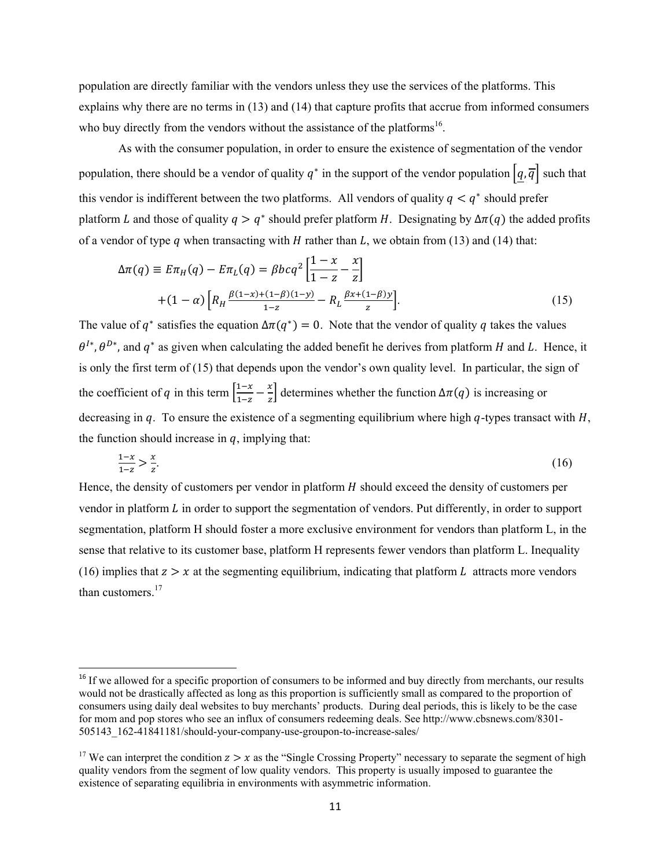population are directly familiar with the vendors unless they use the services of the platforms. This explains why there are no terms in (13) and (14) that capture profits that accrue from informed consumers who buy directly from the vendors without the assistance of the platforms<sup>16</sup>.

 As with the consumer population, in order to ensure the existence of segmentation of the vendor population, there should be a vendor of quality  $q^*$  in the support of the vendor population  $\left[q, \overline{q}\right]$  such that this vendor is indifferent between the two platforms. All vendors of quality  $q < q^*$  should prefer platform L and those of quality  $q > q^*$  should prefer platform H. Designating by  $\Delta \pi(q)$  the added profits of a vendor of type  $q$  when transacting with  $H$  rather than  $L$ , we obtain from (13) and (14) that:

$$
\Delta \pi(q) \equiv E \pi_H(q) - E \pi_L(q) = \beta bc q^2 \left[ \frac{1 - x}{1 - z} - \frac{x}{z} \right]
$$
  
+ 
$$
(1 - \alpha) \left[ R_H \frac{\beta(1 - x) + (1 - \beta)(1 - y)}{1 - z} - R_L \frac{\beta x + (1 - \beta)y}{z} \right].
$$
 (15)

The value of  $q^*$  satisfies the equation  $\Delta \pi(q^*) = 0$ . Note that the vendor of quality q takes the values  $\theta^{I*}$ ,  $\theta^{D*}$ , and  $q^*$  as given when calculating the added benefit he derives from platform H and L. Hence, it is only the first term of (15) that depends upon the vendor's own quality level. In particular, the sign of the coefficient of q in this term  $\left[\frac{1-x}{1-z} - \frac{x}{z}\right]$  determines whether the function  $\Delta \pi(q)$  is increasing or decreasing in  $q$ . To ensure the existence of a segmenting equilibrium where high  $q$ -types transact with  $H$ , the function should increase in  $q$ , implying that:

$$
\frac{1-x}{1-z} > \frac{x}{z}.\tag{16}
$$

Hence, the density of customers per vendor in platform  $H$  should exceed the density of customers per vendor in platform  $L$  in order to support the segmentation of vendors. Put differently, in order to support segmentation, platform H should foster a more exclusive environment for vendors than platform L, in the sense that relative to its customer base, platform H represents fewer vendors than platform L. Inequality (16) implies that  $z > x$  at the segmenting equilibrium, indicating that platform L attracts more vendors than customers.<sup>17</sup>

<sup>&</sup>lt;sup>16</sup> If we allowed for a specific proportion of consumers to be informed and buy directly from merchants, our results would not be drastically affected as long as this proportion is sufficiently small as compared to the proportion of consumers using daily deal websites to buy merchants' products. During deal periods, this is likely to be the case for mom and pop stores who see an influx of consumers redeeming deals. See http://www.cbsnews.com/8301- 505143\_162-41841181/should-your-company-use-groupon-to-increase-sales/

<sup>&</sup>lt;sup>17</sup> We can interpret the condition  $z > x$  as the "Single Crossing Property" necessary to separate the segment of high quality vendors from the segment of low quality vendors. This property is usually imposed to guarantee the existence of separating equilibria in environments with asymmetric information.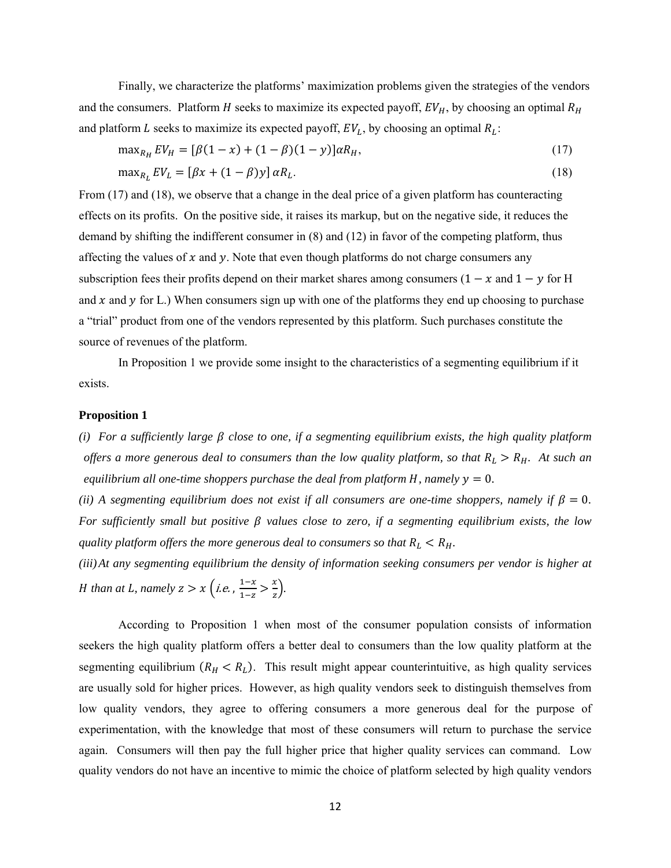Finally, we characterize the platforms' maximization problems given the strategies of the vendors and the consumers. Platform H seeks to maximize its expected payoff,  $EV_H$ , by choosing an optimal  $R_H$ and platform L seeks to maximize its expected payoff,  $EV_L$ , by choosing an optimal  $R_L$ :

$$
\max_{R_H} EV_H = [\beta(1-x) + (1-\beta)(1-y)]\alpha R_H, \tag{17}
$$

$$
\max_{R_L} EV_L = [\beta x + (1 - \beta)y] \alpha R_L. \tag{18}
$$

From (17) and (18), we observe that a change in the deal price of a given platform has counteracting effects on its profits. On the positive side, it raises its markup, but on the negative side, it reduces the demand by shifting the indifferent consumer in (8) and (12) in favor of the competing platform, thus affecting the values of  $x$  and  $y$ . Note that even though platforms do not charge consumers any subscription fees their profits depend on their market shares among consumers ( $1 - x$  and  $1 - y$  for H and x and y for L.) When consumers sign up with one of the platforms they end up choosing to purchase a "trial" product from one of the vendors represented by this platform. Such purchases constitute the source of revenues of the platform.

 In Proposition 1 we provide some insight to the characteristics of a segmenting equilibrium if it exists.

### **Proposition 1**

*(i)* For a sufficiently large  $\beta$  close to one, if a segmenting equilibrium exists, the high quality platform *offers a more generous deal to consumers than the low quality platform, so that*  $R_L > R_H$ . At such an *equilibrium all one-time shoppers purchase the deal from platform H, namely*  $y = 0$ *.* 

*(ii) A segmenting equilibrium does not exist if all consumers are one-time shoppers, namely if*  $\beta = 0$ . *For sufficiently small but positive*  $\beta$  *values close to zero, if a segmenting equilibrium exists, the low quality platform offers the more generous deal to consumers so that*  $R_L < R_H$ .

*(iii)At any segmenting equilibrium the density of information seeking consumers per vendor is higher at H* than at *L*, namely  $z > x$  (i.e.,  $\frac{1-x}{1-z} > \frac{x}{z}$ ).

According to Proposition 1 when most of the consumer population consists of information seekers the high quality platform offers a better deal to consumers than the low quality platform at the segmenting equilibrium  $(R_H < R_L)$ . This result might appear counterintuitive, as high quality services are usually sold for higher prices. However, as high quality vendors seek to distinguish themselves from low quality vendors, they agree to offering consumers a more generous deal for the purpose of experimentation, with the knowledge that most of these consumers will return to purchase the service again. Consumers will then pay the full higher price that higher quality services can command. Low quality vendors do not have an incentive to mimic the choice of platform selected by high quality vendors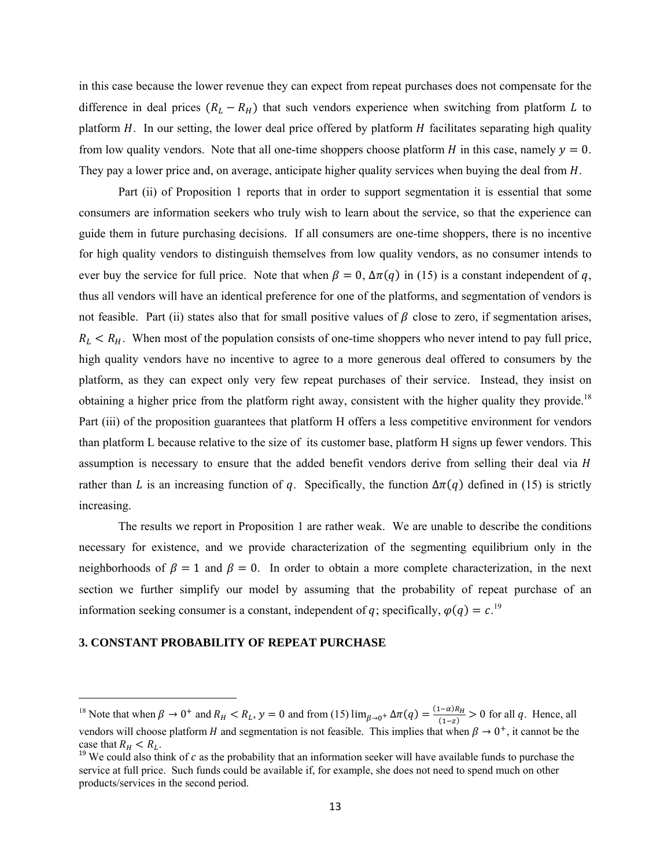in this case because the lower revenue they can expect from repeat purchases does not compensate for the difference in deal prices  $(R_L - R_H)$  that such vendors experience when switching from platform L to platform  $H$ . In our setting, the lower deal price offered by platform  $H$  facilitates separating high quality from low quality vendors. Note that all one-time shoppers choose platform  $H$  in this case, namely  $y = 0$ . They pay a lower price and, on average, anticipate higher quality services when buying the deal from  $H$ .

Part (ii) of Proposition 1 reports that in order to support segmentation it is essential that some consumers are information seekers who truly wish to learn about the service, so that the experience can guide them in future purchasing decisions. If all consumers are one-time shoppers, there is no incentive for high quality vendors to distinguish themselves from low quality vendors, as no consumer intends to ever buy the service for full price. Note that when  $\beta = 0$ ,  $\Delta \pi(q)$  in (15) is a constant independent of q, thus all vendors will have an identical preference for one of the platforms, and segmentation of vendors is not feasible. Part (ii) states also that for small positive values of  $\beta$  close to zero, if segmentation arises,  $R_L < R_H$ . When most of the population consists of one-time shoppers who never intend to pay full price, high quality vendors have no incentive to agree to a more generous deal offered to consumers by the platform, as they can expect only very few repeat purchases of their service. Instead, they insist on obtaining a higher price from the platform right away, consistent with the higher quality they provide.<sup>18</sup> Part (iii) of the proposition guarantees that platform H offers a less competitive environment for vendors than platform L because relative to the size of its customer base, platform H signs up fewer vendors. This assumption is necessary to ensure that the added benefit vendors derive from selling their deal via *H* rather than L is an increasing function of q. Specifically, the function  $\Delta \pi(q)$  defined in (15) is strictly increasing.

The results we report in Proposition 1 are rather weak. We are unable to describe the conditions necessary for existence, and we provide characterization of the segmenting equilibrium only in the neighborhoods of  $\beta = 1$  and  $\beta = 0$ . In order to obtain a more complete characterization, in the next section we further simplify our model by assuming that the probability of repeat purchase of an information seeking consumer is a constant, independent of q; specifically,  $\varphi(q) = c$ <sup>19</sup>.

### **3. CONSTANT PROBABILITY OF REPEAT PURCHASE**

<sup>&</sup>lt;sup>18</sup> Note that when  $\beta \to 0^+$  and  $R_H < R_L$ ,  $y = 0$  and from (15)  $\lim_{\beta \to 0^+} \Delta \pi(q) = \frac{(1-\alpha)R_H}{(1-z)} > 0$  for all q. Hence, all vendors will choose platform H and segmentation is not feasible. This implies that when  $\beta \to 0^+$ , it cannot be the case that  $R_H < R_L$ .<br><sup>19</sup> We could also think of *c* as the probability that an information seeker will have available funds to purchase the

service at full price. Such funds could be available if, for example, she does not need to spend much on other products/services in the second period.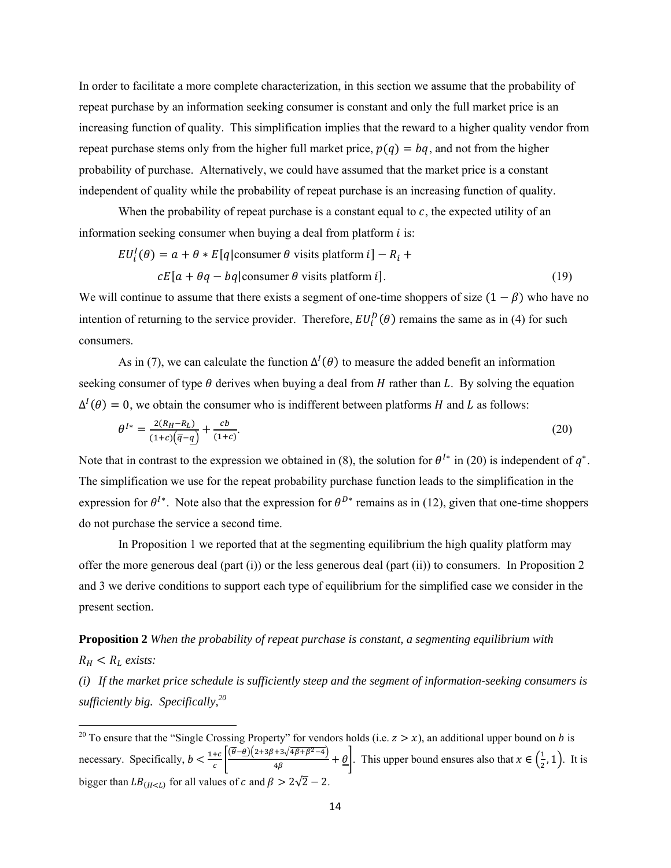In order to facilitate a more complete characterization, in this section we assume that the probability of repeat purchase by an information seeking consumer is constant and only the full market price is an increasing function of quality. This simplification implies that the reward to a higher quality vendor from repeat purchase stems only from the higher full market price,  $p(q) = bq$ , and not from the higher probability of purchase. Alternatively, we could have assumed that the market price is a constant independent of quality while the probability of repeat purchase is an increasing function of quality.

When the probability of repeat purchase is a constant equal to  $c$ , the expected utility of an information seeking consumer when buying a deal from platform  $i$  is:

$$
EU_i^I(\theta) = a + \theta * E[q|\text{consumer }\theta \text{ visits platform } i] - R_i +
$$
  

$$
cE[a + \theta q - bq|\text{consumer }\theta \text{ visits platform } i].
$$
 (19)

We will continue to assume that there exists a segment of one-time shoppers of size  $(1 - \beta)$  who have no intention of returning to the service provider. Therefore,  $EU_i^D(\theta)$  remains the same as in (4) for such consumers.

As in (7), we can calculate the function  $\Delta^I(\theta)$  to measure the added benefit an information seeking consumer of type  $\theta$  derives when buying a deal from H rather than L. By solving the equation  $\Delta^I(\theta) = 0$ , we obtain the consumer who is indifferent between platforms H and L as follows:

$$
\theta^{I*} = \frac{2(R_H - R_L)}{(1+c)\left(\overline{q} - \underline{q}\right)} + \frac{cb}{(1+c)}.
$$
\n(20)

Note that in contrast to the expression we obtained in (8), the solution for  $\theta^{I*}$  in (20) is independent of  $\theta^*$ . The simplification we use for the repeat probability purchase function leads to the simplification in the expression for  $\theta^{I*}$ . Note also that the expression for  $\theta^{D*}$  remains as in (12), given that one-time shoppers do not purchase the service a second time.

 In Proposition 1 we reported that at the segmenting equilibrium the high quality platform may offer the more generous deal (part (i)) or the less generous deal (part (ii)) to consumers. In Proposition 2 and 3 we derive conditions to support each type of equilibrium for the simplified case we consider in the present section.

# **Proposition 2** *When the probability of repeat purchase is constant, a segmenting equilibrium with*   $R_H < R_L$  exists:

*(i) If the market price schedule is sufficiently steep and the segment of information-seeking consumers is sufficiently big. Specifically,20*

 <sup>20</sup> To ensure that the "Single Crossing Property" for vendors holds (i.e.  $z > x$ ), an additional upper bound on *b* is necessary. Specifically,  $b < \frac{1+c}{c} \left( \frac{\overline{\theta}-\underline{\theta}(2+3\beta+3\sqrt{4\beta+\beta^2-4})}{4\beta} + \underline{\theta} \right)$ . This upper bound ensures also that  $x \in (\frac{1}{2}, 1)$ . It is bigger than  $LB_{(H for all values of c and  $\beta > 2\sqrt{2} - 2$ .$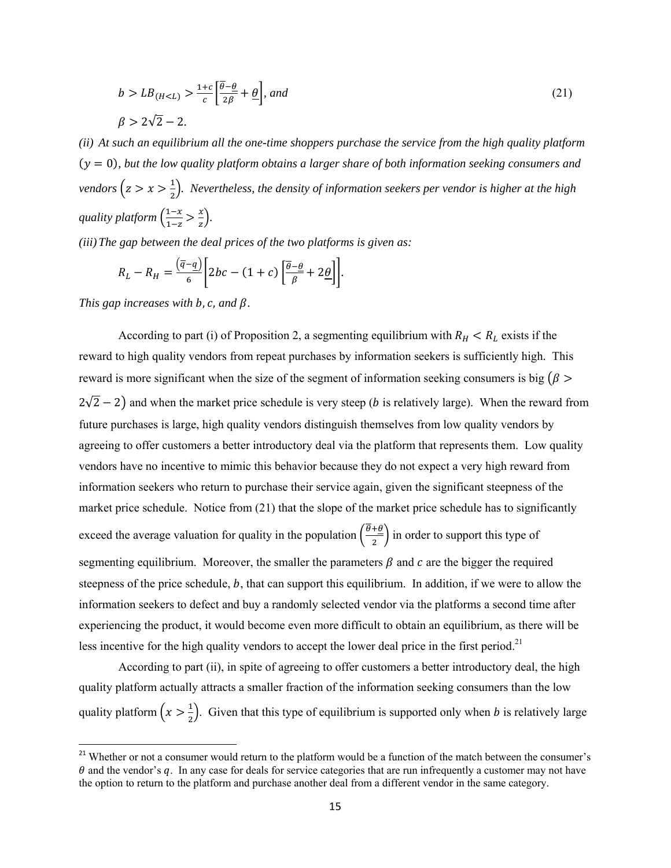$$
b > LB_{(H < L)} > \frac{1+c}{c} \left[ \frac{\theta - \theta}{2\beta} + \frac{\theta}{c} \right], \text{ and}
$$
\n
$$
\beta > 2\sqrt{2} - 2.
$$
\n
$$
(21)
$$

*(ii) At such an equilibrium all the one-time shoppers purchase the service from the high quality platform*   $(y = 0)$ , but the low quality platform obtains a larger share of both information seeking consumers and vendors  $(z > x > \frac{1}{2})$ . Nevertheless, the density of information seekers per vendor is higher at the high  $q$ *uality platform*  $\left(\frac{1-x}{1-x}\right)$  $\frac{1-x}{1-z} > \frac{x}{z}$ .

*(iii)The gap between the deal prices of the two platforms is given as:* 

$$
R_L - R_H = \frac{(\overline{q} - \underline{q})}{6} \left[ 2bc - (1 + c) \left[ \frac{\overline{\theta} - \underline{\theta}}{\beta} + 2\underline{\theta} \right] \right].
$$

*This gap increases with b, c, and*  $\beta$ *.* 

According to part (i) of Proposition 2, a segmenting equilibrium with  $R_H < R_L$  exists if the reward to high quality vendors from repeat purchases by information seekers is sufficiently high. This reward is more significant when the size of the segment of information seeking consumers is big  $(\beta >$  $2\sqrt{2} - 2$ ) and when the market price schedule is very steep (*b* is relatively large). When the reward from future purchases is large, high quality vendors distinguish themselves from low quality vendors by agreeing to offer customers a better introductory deal via the platform that represents them. Low quality vendors have no incentive to mimic this behavior because they do not expect a very high reward from information seekers who return to purchase their service again, given the significant steepness of the market price schedule. Notice from (21) that the slope of the market price schedule has to significantly exceed the average valuation for quality in the population  $\left(\frac{\theta+\theta}{2}\right)$  in order to support this type of segmenting equilibrium. Moreover, the smaller the parameters  $\beta$  and  $\alpha$  are the bigger the required steepness of the price schedule, b, that can support this equilibrium. In addition, if we were to allow the information seekers to defect and buy a randomly selected vendor via the platforms a second time after experiencing the product, it would become even more difficult to obtain an equilibrium, as there will be less incentive for the high quality vendors to accept the lower deal price in the first period.<sup>21</sup>

 According to part (ii), in spite of agreeing to offer customers a better introductory deal, the high quality platform actually attracts a smaller fraction of the information seeking consumers than the low quality platform  $\left(x > \frac{1}{2}\right)$ . Given that this type of equilibrium is supported only when *b* is relatively large

<sup>&</sup>lt;sup>21</sup> Whether or not a consumer would return to the platform would be a function of the match between the consumer's  $\theta$  and the vendor's  $q$ . In any case for deals for service categories that are run infrequently a customer may not have the option to return to the platform and purchase another deal from a different vendor in the same category.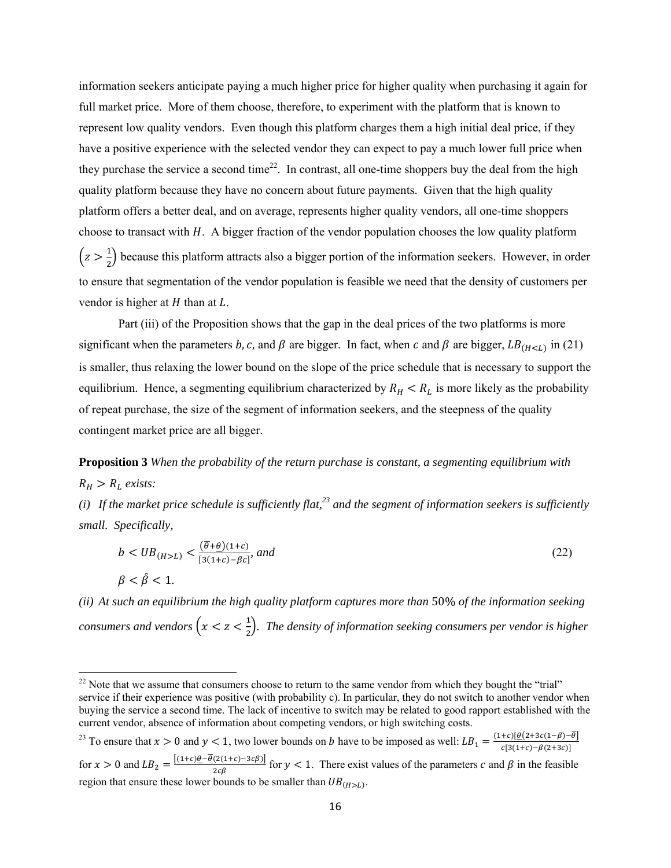information seekers anticipate paying a much higher price for higher quality when purchasing it again for full market price. More of them choose, therefore, to experiment with the platform that is known to represent low quality vendors. Even though this platform charges them a high initial deal price, if they have a positive experience with the selected vendor they can expect to pay a much lower full price when they purchase the service a second time<sup>22</sup>. In contrast, all one-time shoppers buy the deal from the high quality platform because they have no concern about future payments. Given that the high quality platform offers a better deal, and on average, represents higher quality vendors, all one-time shoppers choose to transact with  $H$ . A bigger fraction of the vendor population chooses the low quality platform  $(z > \frac{1}{2})$  because this platform attracts also a bigger portion of the information seekers. However, in order to ensure that segmentation of the vendor population is feasible we need that the density of customers per vendor is higher at  $H$  than at  $L$ .

 Part (iii) of the Proposition shows that the gap in the deal prices of the two platforms is more significant when the parameters b, c, and  $\beta$  are bigger. In fact, when c and  $\beta$  are bigger,  $LB_{(H \le L)}$  in (21) is smaller, thus relaxing the lower bound on the slope of the price schedule that is necessary to support the equilibrium. Hence, a segmenting equilibrium characterized by  $R_H < R_L$  is more likely as the probability of repeat purchase, the size of the segment of information seekers, and the steepness of the quality contingent market price are all bigger.

**Proposition 3** *When the probability of the return purchase is constant, a segmenting equilibrium with*   $R_H > R_L$  exists:

*(i)* If the market price schedule is sufficiently flat,  $23$  and the segment of information seekers is sufficiently *small. Specifically,* 

$$
b < UB_{(H>L)} < \frac{(\overline{\theta} + \underline{\theta})(1+c)}{[3(1+c) - \beta c]}, \text{ and}
$$
\n
$$
\beta < \hat{\beta} < 1.
$$
\n
$$
(22)
$$

*(ii) At such an equilibrium the high quality platform captures more than* 50% *of the information seeking*  consumers and vendors  $\left(x < z < \frac{1}{2}\right)$ . The density of information seeking consumers per vendor is higher

<sup>23</sup> To ensure that  $x > 0$  and  $y < 1$ , two lower bounds on *b* have to be imposed as well:  $LB_1 = \frac{(1+c)[\theta(2+3c(1-\beta)-\theta]}{c[3(1+c)-\beta(c+3c)]}$ for  $x > 0$  and  $LB_2 = \frac{[(1+c)\theta - \theta(2(1+c)-3c\beta)]}{2c\beta}$  for  $y < 1$ . There exist values of the parameters c and  $\beta$  in the feasible region that ensure these lower bounds to be smaller than  $UB_{(H>L)}$ .

<sup>&</sup>lt;sup>22</sup> Note that we assume that consumers choose to return to the same vendor from which they bought the "trial" service if their experience was positive (with probability c). In particular, they do not switch to another vendor when buying the service a second time. The lack of incentive to switch may be related to good rapport established with the current vendor, absence of information about competing vendors, or high switching costs.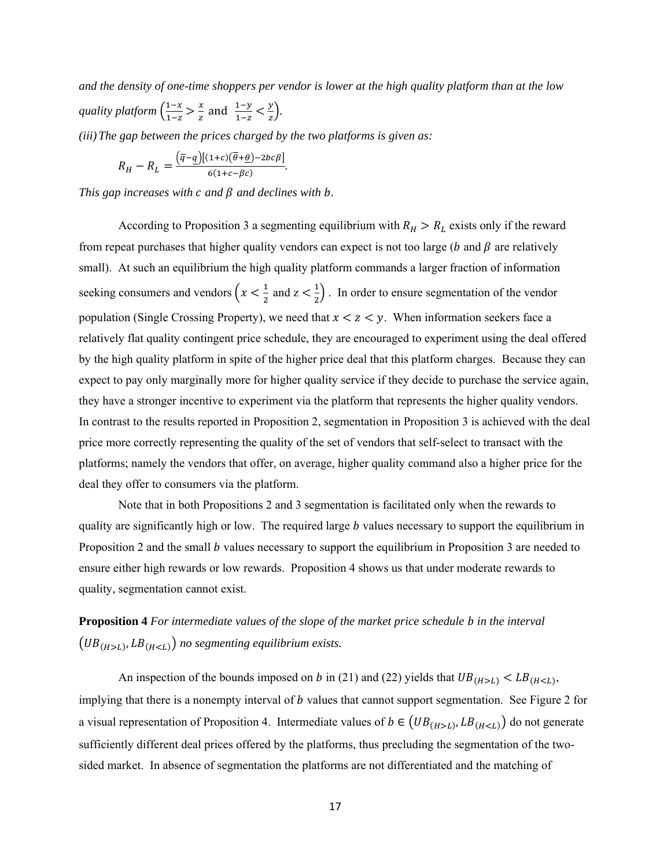*and the density of one-time shoppers per vendor is lower at the high quality platform than at the low*   $q$ *uality platform*  $\left(\frac{1-x}{1-x}\right)$  $\frac{1-x}{1-z} > \frac{x}{z}$  and  $\frac{1-y}{1-z} < \frac{y}{z}$ .

*(iii)The gap between the prices charged by the two platforms is given as:* 

$$
R_H - R_L = \frac{(\overline{q} - \underline{q})[(1+c)(\overline{\theta} + \underline{\theta}) - 2bc\beta]}{6(1+c-\beta c)}.
$$

*This gap increases with c and*  $\beta$  *and declines with b.* 

According to Proposition 3 a segmenting equilibrium with  $R_H > R_L$  exists only if the reward from repeat purchases that higher quality vendors can expect is not too large ( $b$  and  $\beta$  are relatively small). At such an equilibrium the high quality platform commands a larger fraction of information seeking consumers and vendors  $\left(x < \frac{1}{2} \text{ and } z < \frac{1}{2}\right)$ . In order to ensure segmentation of the vendor population (Single Crossing Property), we need that  $x < z < y$ . When information seekers face a relatively flat quality contingent price schedule, they are encouraged to experiment using the deal offered by the high quality platform in spite of the higher price deal that this platform charges. Because they can expect to pay only marginally more for higher quality service if they decide to purchase the service again, they have a stronger incentive to experiment via the platform that represents the higher quality vendors. In contrast to the results reported in Proposition 2, segmentation in Proposition 3 is achieved with the deal price more correctly representing the quality of the set of vendors that self-select to transact with the platforms; namely the vendors that offer, on average, higher quality command also a higher price for the deal they offer to consumers via the platform.

 Note that in both Propositions 2 and 3 segmentation is facilitated only when the rewards to quality are significantly high or low. The required large  *values necessary to support the equilibrium in* Proposition 2 and the small b values necessary to support the equilibrium in Proposition 3 are needed to ensure either high rewards or low rewards. Proposition 4 shows us that under moderate rewards to quality, segmentation cannot exist.

**Proposition 4** *For intermediate values of the slope of the market price schedule b in the interval*  $(UB_{(H>L)}, LB_{(H no segmenting equilibrium exists.$ 

An inspection of the bounds imposed on b in (21) and (22) yields that  $UB_{(H>L)}$  <  $LB_{(H,$ implying that there is a nonempty interval of *b* values that cannot support segmentation. See Figure 2 for a visual representation of Proposition 4. Intermediate values of  $b \in (UB_{(H>L)}, LB_{(H do not generate$ sufficiently different deal prices offered by the platforms, thus precluding the segmentation of the twosided market. In absence of segmentation the platforms are not differentiated and the matching of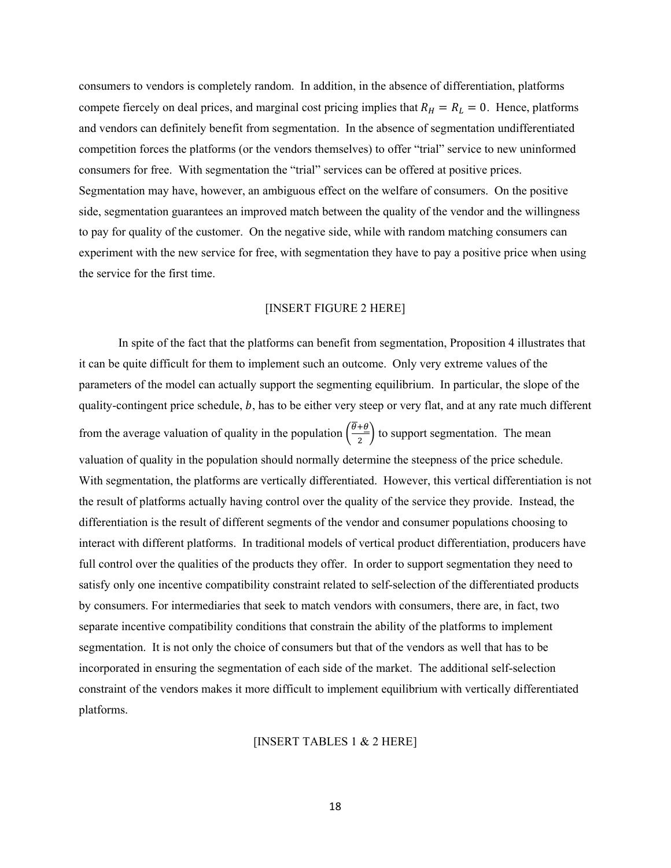consumers to vendors is completely random. In addition, in the absence of differentiation, platforms compete fiercely on deal prices, and marginal cost pricing implies that  $R_H = R_L = 0$ . Hence, platforms and vendors can definitely benefit from segmentation. In the absence of segmentation undifferentiated competition forces the platforms (or the vendors themselves) to offer "trial" service to new uninformed consumers for free. With segmentation the "trial" services can be offered at positive prices. Segmentation may have, however, an ambiguous effect on the welfare of consumers. On the positive side, segmentation guarantees an improved match between the quality of the vendor and the willingness to pay for quality of the customer. On the negative side, while with random matching consumers can experiment with the new service for free, with segmentation they have to pay a positive price when using the service for the first time.

# [INSERT FIGURE 2 HERE]

 In spite of the fact that the platforms can benefit from segmentation, Proposition 4 illustrates that it can be quite difficult for them to implement such an outcome. Only very extreme values of the parameters of the model can actually support the segmenting equilibrium. In particular, the slope of the quality-contingent price schedule,  $b$ , has to be either very steep or very flat, and at any rate much different from the average valuation of quality in the population  $\left(\frac{\theta+\theta}{2}\right)$  to support segmentation. The mean valuation of quality in the population should normally determine the steepness of the price schedule. With segmentation, the platforms are vertically differentiated. However, this vertical differentiation is not the result of platforms actually having control over the quality of the service they provide. Instead, the differentiation is the result of different segments of the vendor and consumer populations choosing to interact with different platforms. In traditional models of vertical product differentiation, producers have full control over the qualities of the products they offer. In order to support segmentation they need to satisfy only one incentive compatibility constraint related to self-selection of the differentiated products by consumers. For intermediaries that seek to match vendors with consumers, there are, in fact, two separate incentive compatibility conditions that constrain the ability of the platforms to implement segmentation. It is not only the choice of consumers but that of the vendors as well that has to be incorporated in ensuring the segmentation of each side of the market. The additional self-selection constraint of the vendors makes it more difficult to implement equilibrium with vertically differentiated platforms.

# [INSERT TABLES 1 & 2 HERE]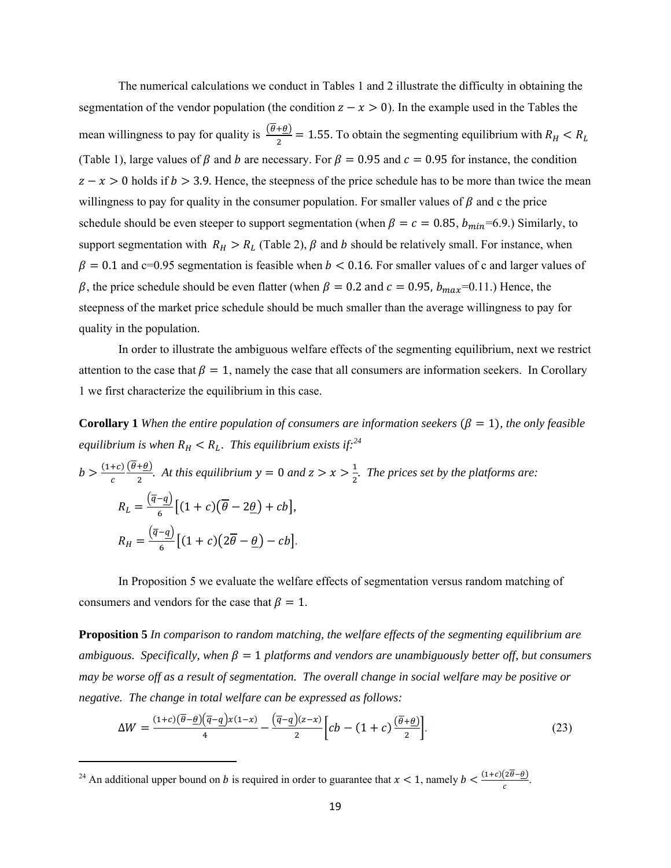The numerical calculations we conduct in Tables 1 and 2 illustrate the difficulty in obtaining the segmentation of the vendor population (the condition  $z - x > 0$ ). In the example used in the Tables the mean willingness to pay for quality is  $\frac{(\theta + \theta)}{2} = 1.55$ . To obtain the segmenting equilibrium with  $R_H < R_L$ (Table 1), large values of  $\beta$  and  $\dot{\beta}$  are necessary. For  $\beta = 0.95$  and  $\dot{c} = 0.95$  for instance, the condition  $z - x > 0$  holds if  $b > 3.9$ . Hence, the steepness of the price schedule has to be more than twice the mean willingness to pay for quality in the consumer population. For smaller values of  $\beta$  and c the price schedule should be even steeper to support segmentation (when  $\beta = c = 0.85$ ,  $b_{min} = 6.9$ .) Similarly, to support segmentation with  $R_H > R_L$  (Table 2),  $\beta$  and b should be relatively small. For instance, when  $\beta = 0.1$  and c=0.95 segmentation is feasible when  $b < 0.16$ . For smaller values of c and larger values of  $\beta$ , the price schedule should be even flatter (when  $\beta = 0.2$  and  $c = 0.95$ ,  $b_{max}$ =0.11.) Hence, the steepness of the market price schedule should be much smaller than the average willingness to pay for quality in the population.

In order to illustrate the ambiguous welfare effects of the segmenting equilibrium, next we restrict attention to the case that  $\beta = 1$ , namely the case that all consumers are information seekers. In Corollary 1 we first characterize the equilibrium in this case.

**Corollary 1** *When the entire population of consumers are information seekers*  $(\beta = 1)$ *, the only feasible equilibrium is when*  $R_H < R_L$ . This equilibrium exists if:<sup>24</sup>

$$
b > \frac{(1+c)}{c} \frac{(\overline{\theta}+\underline{\theta})}{2}
$$
. At this equilibrium  $y = 0$  and  $z > x > \frac{1}{2}$ . The prices set by the platforms are:  

$$
R_L = \frac{(\overline{q}-\underline{q})}{6} [(1+c)(\overline{\theta}-2\underline{\theta}) + cb],
$$

$$
R_H = \frac{(\overline{q}-\underline{q})}{6} [(1+c)(2\overline{\theta}-\underline{\theta}) - cb].
$$

In Proposition 5 we evaluate the welfare effects of segmentation versus random matching of consumers and vendors for the case that  $\beta = 1$ .

**Proposition 5** *In comparison to random matching, the welfare effects of the segmenting equilibrium are*  ambiguous. Specifically, when  $\beta = 1$  platforms and vendors are unambiguously better off, but consumers *may be worse off as a result of segmentation. The overall change in social welfare may be positive or negative. The change in total welfare can be expressed as follows:* 

$$
\Delta W = \frac{(1+c)(\overline{\theta}-\underline{\theta})(\overline{q}-\underline{q})x(1-x)}{4} - \frac{(\overline{q}-\underline{q})(z-x)}{2} \Big[ cb - (1+c)\frac{(\overline{\theta}+\underline{\theta})}{2} \Big].
$$
 (23)

<sup>&</sup>lt;sup>24</sup> An additional upper bound on *b* is required in order to guarantee that  $x < 1$ , namely  $b < \frac{(1+c)(2\theta - \underline{\theta})}{c}$ .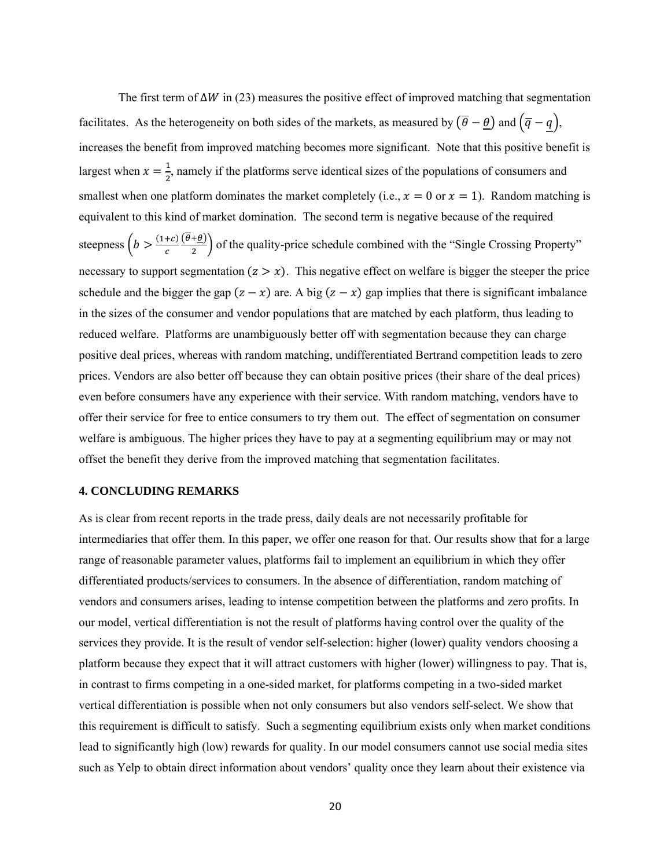The first term of  $\Delta W$  in (23) measures the positive effect of improved matching that segmentation facilitates. As the heterogeneity on both sides of the markets, as measured by  $(\overline{\theta} - \underline{\theta})$  and  $(\overline{q} - q)$ , increases the benefit from improved matching becomes more significant. Note that this positive benefit is largest when  $x = \frac{1}{2}$  $\frac{1}{2}$ , namely if the platforms serve identical sizes of the populations of consumers and smallest when one platform dominates the market completely (i.e.,  $x = 0$  or  $x = 1$ ). Random matching is equivalent to this kind of market domination. The second term is negative because of the required steepness  $\left(b > \frac{(1+c)}{c}\right)$  $\frac{(\theta+\theta)}{2}$  of the quality-price schedule combined with the "Single Crossing Property" necessary to support segmentation  $(z > x)$ . This negative effect on welfare is bigger the steeper the price schedule and the bigger the gap  $(z - x)$  are. A big  $(z - x)$  gap implies that there is significant imbalance in the sizes of the consumer and vendor populations that are matched by each platform, thus leading to reduced welfare.Platforms are unambiguously better off with segmentation because they can charge positive deal prices, whereas with random matching, undifferentiated Bertrand competition leads to zero prices. Vendors are also better off because they can obtain positive prices (their share of the deal prices) even before consumers have any experience with their service. With random matching, vendors have to offer their service for free to entice consumers to try them out. The effect of segmentation on consumer welfare is ambiguous. The higher prices they have to pay at a segmenting equilibrium may or may not offset the benefit they derive from the improved matching that segmentation facilitates.

# **4. CONCLUDING REMARKS**

As is clear from recent reports in the trade press, daily deals are not necessarily profitable for intermediaries that offer them. In this paper, we offer one reason for that. Our results show that for a large range of reasonable parameter values, platforms fail to implement an equilibrium in which they offer differentiated products/services to consumers. In the absence of differentiation, random matching of vendors and consumers arises, leading to intense competition between the platforms and zero profits. In our model, vertical differentiation is not the result of platforms having control over the quality of the services they provide. It is the result of vendor self-selection: higher (lower) quality vendors choosing a platform because they expect that it will attract customers with higher (lower) willingness to pay. That is, in contrast to firms competing in a one-sided market, for platforms competing in a two-sided market vertical differentiation is possible when not only consumers but also vendors self-select. We show that this requirement is difficult to satisfy. Such a segmenting equilibrium exists only when market conditions lead to significantly high (low) rewards for quality. In our model consumers cannot use social media sites such as Yelp to obtain direct information about vendors' quality once they learn about their existence via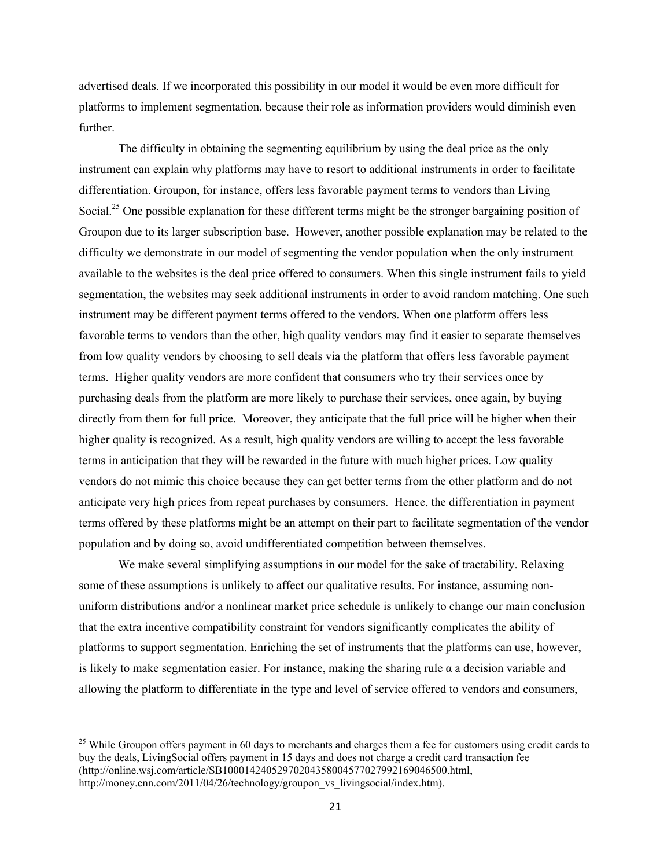advertised deals. If we incorporated this possibility in our model it would be even more difficult for platforms to implement segmentation, because their role as information providers would diminish even further.

 The difficulty in obtaining the segmenting equilibrium by using the deal price as the only instrument can explain why platforms may have to resort to additional instruments in order to facilitate differentiation. Groupon, for instance, offers less favorable payment terms to vendors than Living Social.<sup>25</sup> One possible explanation for these different terms might be the stronger bargaining position of Groupon due to its larger subscription base. However, another possible explanation may be related to the difficulty we demonstrate in our model of segmenting the vendor population when the only instrument available to the websites is the deal price offered to consumers. When this single instrument fails to yield segmentation, the websites may seek additional instruments in order to avoid random matching. One such instrument may be different payment terms offered to the vendors. When one platform offers less favorable terms to vendors than the other, high quality vendors may find it easier to separate themselves from low quality vendors by choosing to sell deals via the platform that offers less favorable payment terms. Higher quality vendors are more confident that consumers who try their services once by purchasing deals from the platform are more likely to purchase their services, once again, by buying directly from them for full price. Moreover, they anticipate that the full price will be higher when their higher quality is recognized. As a result, high quality vendors are willing to accept the less favorable terms in anticipation that they will be rewarded in the future with much higher prices. Low quality vendors do not mimic this choice because they can get better terms from the other platform and do not anticipate very high prices from repeat purchases by consumers. Hence, the differentiation in payment terms offered by these platforms might be an attempt on their part to facilitate segmentation of the vendor population and by doing so, avoid undifferentiated competition between themselves.

We make several simplifying assumptions in our model for the sake of tractability. Relaxing some of these assumptions is unlikely to affect our qualitative results. For instance, assuming nonuniform distributions and/or a nonlinear market price schedule is unlikely to change our main conclusion that the extra incentive compatibility constraint for vendors significantly complicates the ability of platforms to support segmentation. Enriching the set of instruments that the platforms can use, however, is likely to make segmentation easier. For instance, making the sharing rule  $\alpha$  a decision variable and allowing the platform to differentiate in the type and level of service offered to vendors and consumers,

 $^{25}$  While Groupon offers payment in 60 days to merchants and charges them a fee for customers using credit cards to buy the deals, LivingSocial offers payment in 15 days and does not charge a credit card transaction fee (http://online.wsj.com/article/SB10001424052970204358004577027992169046500.html, http://money.cnn.com/2011/04/26/technology/groupon\_vs\_livingsocial/index.htm).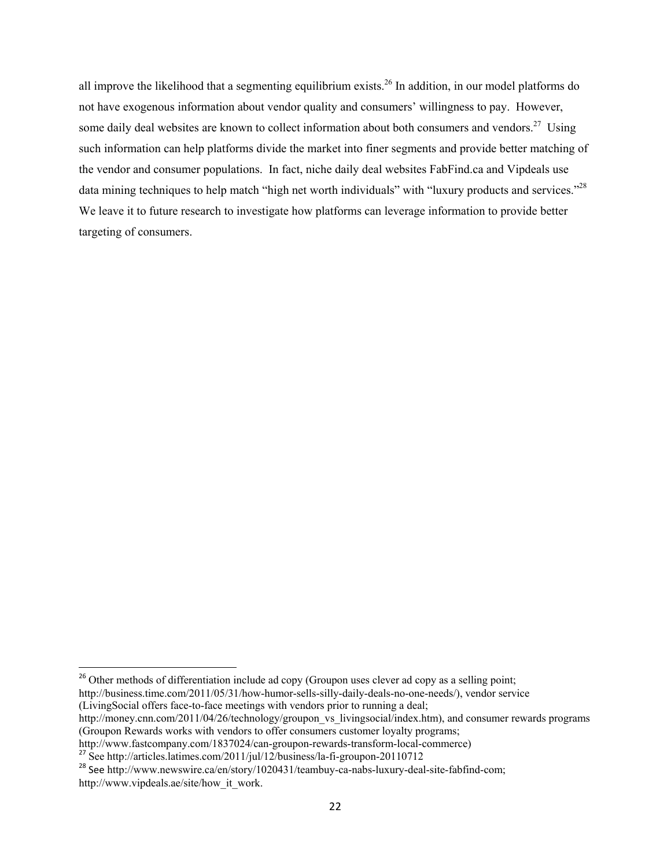all improve the likelihood that a segmenting equilibrium exists.26 In addition, in our model platforms do not have exogenous information about vendor quality and consumers' willingness to pay. However, some daily deal websites are known to collect information about both consumers and vendors.<sup>27</sup> Using such information can help platforms divide the market into finer segments and provide better matching of the vendor and consumer populations. In fact, niche daily deal websites FabFind.ca and Vipdeals use data mining techniques to help match "high net worth individuals" with "luxury products and services."<sup>28</sup> We leave it to future research to investigate how platforms can leverage information to provide better targeting of consumers.

(LivingSocial offers face-to-face meetings with vendors prior to running a deal;

 $26$  Other methods of differentiation include ad copy (Groupon uses clever ad copy as a selling point; http://business.time.com/2011/05/31/how-humor-sells-silly-daily-deals-no-one-needs/), vendor service

http://money.cnn.com/2011/04/26/technology/groupon\_vs\_livingsocial/index.htm), and consumer rewards programs (Groupon Rewards works with vendors to offer consumers customer loyalty programs;

http://www.fastcompany.com/1837024/can-groupon-rewards-transform-local-commerce) <sup>27</sup> See http://articles.latimes.com/2011/jul/12/business/la-fi-groupon-20110712

<sup>&</sup>lt;sup>28</sup> See http://www.newswire.ca/en/story/1020431/teambuy-ca-nabs-luxury-deal-site-fabfind-com; http://www.vipdeals.ae/site/how\_it\_work.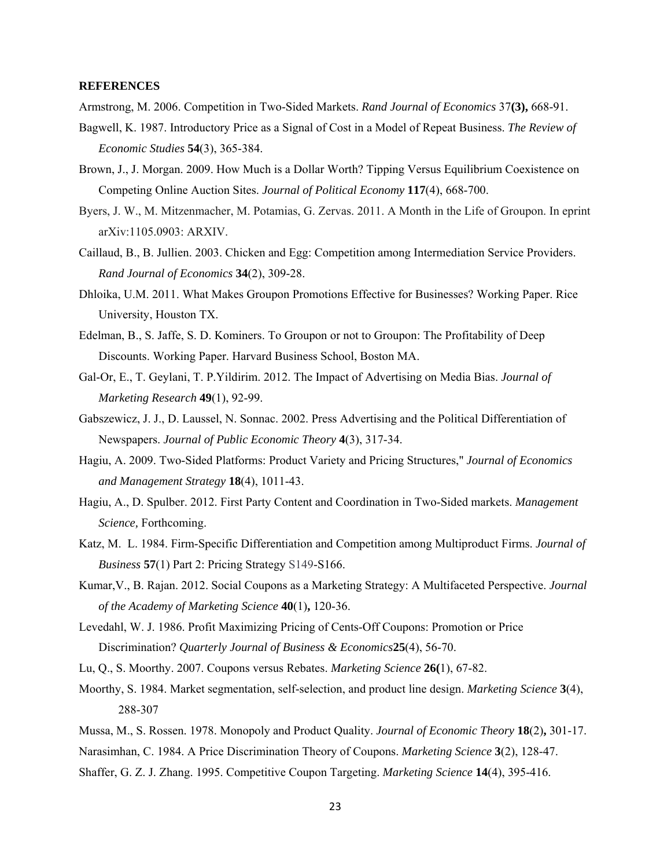#### **REFERENCES**

Armstrong, M. 2006. Competition in Two-Sided Markets. *Rand Journal of Economics* 37**(3),** 668-91.

- Bagwell, K. 1987. Introductory Price as a Signal of Cost in a Model of Repeat Business. *The Review of Economic Studies* **54**(3), 365-384.
- Brown, J., J. Morgan. 2009. How Much is a Dollar Worth? Tipping Versus Equilibrium Coexistence on Competing Online Auction Sites. *Journal of Political Economy* **117**(4), 668-700.
- Byers, J. W., M. Mitzenmacher, M. Potamias, G. Zervas. 2011. A Month in the Life of Groupon. In eprint arXiv:1105.0903: ARXIV.
- Caillaud, B., B. Jullien. 2003. Chicken and Egg: Competition among Intermediation Service Providers. *Rand Journal of Economics* **34**(2), 309-28.
- Dhloika, U.M. 2011. What Makes Groupon Promotions Effective for Businesses? Working Paper. Rice University, Houston TX.
- Edelman, B., S. Jaffe, S. D. Kominers. To Groupon or not to Groupon: The Profitability of Deep Discounts. Working Paper. Harvard Business School, Boston MA.
- Gal-Or, E., T. Geylani, T. P.Yildirim. 2012. The Impact of Advertising on Media Bias. *Journal of Marketing Research* **49**(1), 92-99.
- Gabszewicz, J. J., D. Laussel, N. Sonnac. 2002. Press Advertising and the Political Differentiation of Newspapers. *Journal of Public Economic Theory* **4**(3), 317-34.
- Hagiu, A. 2009. Two-Sided Platforms: Product Variety and Pricing Structures," *Journal of Economics and Management Strategy* **18**(4), 1011-43.
- Hagiu, A., D. Spulber. 2012. First Party Content and Coordination in Two-Sided markets. *Management Science,* Forthcoming.
- Katz, M. L. 1984. Firm-Specific Differentiation and Competition among Multiproduct Firms. *Journal of Business* **57**(1) Part 2: Pricing Strategy S149-S166.
- Kumar,V., B. Rajan. 2012. Social Coupons as a Marketing Strategy: A Multifaceted Perspective. *Journal of the Academy of Marketing Science* **40**(1)**,** 120-36.
- Levedahl, W. J. 1986. Profit Maximizing Pricing of Cents-Off Coupons: Promotion or Price Discrimination? *Quarterly Journal of Business & Economics***25**(4), 56-70.

Lu, Q., S. Moorthy. 2007. Coupons versus Rebates. *Marketing Science* **26(**1), 67-82.

- Moorthy, S. 1984. Market segmentation, self-selection, and product line design. *Marketing Science* **3**(4), 288-307
- Mussa, M., S. Rossen. 1978. Monopoly and Product Quality. *Journal of Economic Theory* **18**(2)**,** 301-17.
- Narasimhan, C. 1984. A Price Discrimination Theory of Coupons. *Marketing Science* **3**(2), 128-47.
- Shaffer, G. Z. J. Zhang. 1995. Competitive Coupon Targeting. *Marketing Science* **14**(4), 395-416.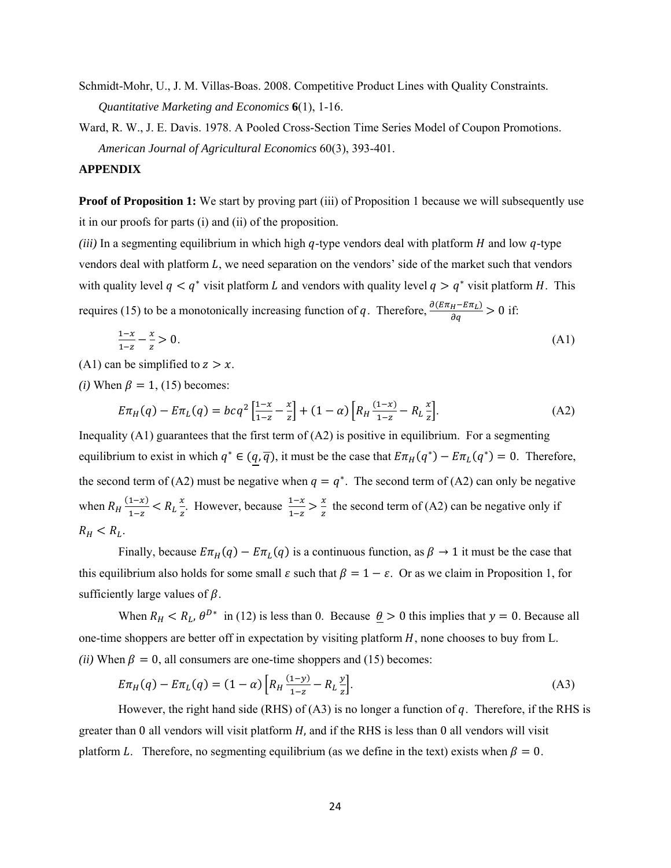Schmidt-Mohr, U., J. M. Villas-Boas. 2008. Competitive Product Lines with Quality Constraints. *Quantitative Marketing and Economics* **6**(1), 1-16.

Ward, R. W., J. E. Davis. 1978. A Pooled Cross-Section Time Series Model of Coupon Promotions. *American Journal of Agricultural Economics* 60(3), 393-401.

## **APPENDIX**

**Proof of Proposition 1:** We start by proving part (iii) of Proposition 1 because we will subsequently use it in our proofs for parts (i) and (ii) of the proposition.

*(iii)* In a segmenting equilibrium in which high  $q$ -type vendors deal with platform  $H$  and low  $q$ -type vendors deal with platform  $L$ , we need separation on the vendors' side of the market such that vendors with quality level  $q < q^*$  visit platform L and vendors with quality level  $q > q^*$  visit platform H. This requires (15) to be a monotonically increasing function of q. Therefore,  $\frac{\partial (E\pi_H - E\pi_L)}{\partial q} > 0$  if:

$$
\frac{1-x}{1-z} - \frac{x}{z} > 0. \tag{A1}
$$

(A1) can be simplified to  $z > x$ .

*(i)* When  $\beta = 1$ , (15) becomes:

$$
E\pi_H(q) - E\pi_L(q) = bcq^2 \left[ \frac{1-x}{1-z} - \frac{x}{z} \right] + (1-\alpha) \left[ R_H \frac{(1-x)}{1-z} - R_L \frac{x}{z} \right].
$$
 (A2)

Inequality  $(A1)$  guarantees that the first term of  $(A2)$  is positive in equilibrium. For a segmenting equilibrium to exist in which  $q^* \in (q, \overline{q})$ , it must be the case that  $E\pi_H(q^*) - E\pi_L(q^*) = 0$ . Therefore, the second term of (A2) must be negative when  $q = q^*$ . The second term of (A2) can only be negative when  $R_H \frac{(1-x)}{1-z}$  $\frac{1-x}{1-z} < R_L \frac{x}{z}$  $\frac{x}{z}$ . However, because  $\frac{1-x}{1-z} > \frac{x}{z}$  the second term of (A2) can be negative only if  $R_H < R_L$ .

Finally, because  $E\pi_H(q) - E\pi_L(q)$  is a continuous function, as  $\beta \to 1$  it must be the case that this equilibrium also holds for some small  $\varepsilon$  such that  $\beta = 1 - \varepsilon$ . Or as we claim in Proposition 1, for sufficiently large values of  $\beta$ .

When  $R_H < R_L$ ,  $\theta^{D*}$  in (12) is less than 0. Because  $\theta > 0$  this implies that  $y = 0$ . Because all one-time shoppers are better off in expectation by visiting platform  $H$ , none chooses to buy from  $L$ . *(ii)* When  $\beta = 0$ , all consumers are one-time shoppers and (15) becomes:

$$
E\pi_H(q) - E\pi_L(q) = (1 - \alpha) \left[ R_H \frac{(1 - y)}{1 - z} - R_L \frac{y}{z} \right].
$$
 (A3)

However, the right hand side (RHS) of (A3) is no longer a function of q. Therefore, if the RHS is greater than 0 all vendors will visit platform  $H$ , and if the RHS is less than 0 all vendors will visit platform L. Therefore, no segmenting equilibrium (as we define in the text) exists when  $\beta = 0$ .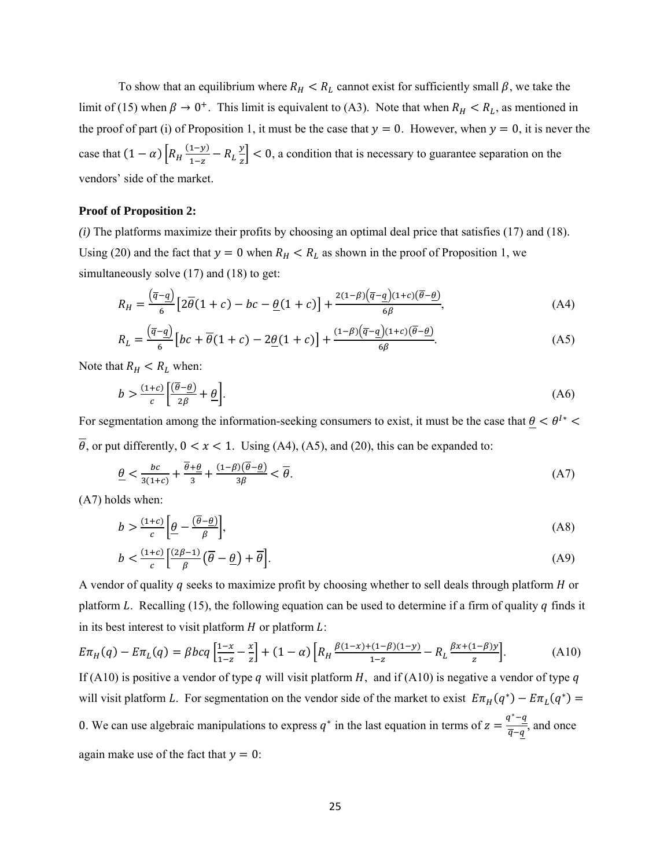To show that an equilibrium where  $R_H < R_L$  cannot exist for sufficiently small  $\beta$ , we take the limit of (15) when  $\beta \to 0^+$ . This limit is equivalent to (A3). Note that when  $R_H < R_L$ , as mentioned in the proof of part (i) of Proposition 1, it must be the case that  $y = 0$ . However, when  $y = 0$ , it is never the case that  $(1 - \alpha)$   $\left[ R_H \frac{(1-y)}{1-z} \right]$  $rac{1-y)}{1-z}$  –  $R_L \frac{y}{z}$  $\frac{dy}{dz}$  < 0, a condition that is necessary to guarantee separation on the vendors' side of the market.

### **Proof of Proposition 2:**

*(i)* The platforms maximize their profits by choosing an optimal deal price that satisfies (17) and (18). Using (20) and the fact that  $y = 0$  when  $R_H < R_L$  as shown in the proof of Proposition 1, we simultaneously solve (17) and (18) to get:

$$
R_H = \frac{(\overline{q} - \underline{q})}{6} \left[ 2\overline{\theta}(1+c) - bc - \underline{\theta}(1+c) \right] + \frac{2(1-\beta)(\overline{q}-\underline{q})(1+c)(\overline{\theta}-\underline{\theta})}{6\beta},\tag{A4}
$$

$$
R_L = \frac{(\overline{q} - \underline{q})}{6} \left[ bc + \overline{\theta} (1 + c) - 2\underline{\theta} (1 + c) \right] + \frac{(1 - \beta)(\overline{q} - \underline{q})(1 + c)(\overline{\theta} - \underline{\theta})}{6\beta}.
$$
 (A5)

Note that  $R_H < R_L$  when:

$$
b > \frac{(1+c)}{c} \left[ \frac{(\overline{\theta} - \underline{\theta})}{2\beta} + \underline{\theta} \right].
$$
 (A6)

For segmentation among the information-seeking consumers to exist, it must be the case that  $\underline{\theta} < \theta^{1*}$ 

 $\overline{\theta}$ , or put differently,  $0 < x < 1$ . Using (A4), (A5), and (20), this can be expanded to:

$$
\frac{\theta}{3(1+c)} + \frac{\overline{\theta} + \underline{\theta}}{3} + \frac{(1-\beta)(\overline{\theta} - \underline{\theta})}{3\beta} < \overline{\theta}.\tag{A7}
$$

(A7) holds when:

$$
b > \frac{(1+c)}{c} \left[ \underline{\theta} - \frac{(\overline{\theta} - \underline{\theta})}{\beta} \right],\tag{A8}
$$

$$
b < \frac{(1+c)}{c} \left[ \frac{(2\beta - 1)}{\beta} \left( \overline{\theta} - \underline{\theta} \right) + \overline{\theta} \right].\tag{A9}
$$

A vendor of quality  $q$  seeks to maximize profit by choosing whether to sell deals through platform  $H$  or platform L. Recalling (15), the following equation can be used to determine if a firm of quality  $q$  finds it in its best interest to visit platform  $H$  or platform  $L$ :

$$
E\pi_H(q) - E\pi_L(q) = \beta bcq \left[ \frac{1-x}{1-z} - \frac{x}{z} \right] + (1-\alpha) \left[ R_H \frac{\beta(1-x) + (1-\beta)(1-y)}{1-z} - R_L \frac{\beta x + (1-\beta)y}{z} \right].
$$
 (A10)

If (A10) is positive a vendor of type q will visit platform  $H$ , and if (A10) is negative a vendor of type q will visit platform L. For segmentation on the vendor side of the market to exist  $E\pi_H(q^*) - E\pi_L(q^*) =$ 0. We can use algebraic manipulations to express  $q^*$  in the last equation in terms of  $z = \frac{q^* - q}{\overline{q} - q}$ , and once again make use of the fact that  $y = 0$ :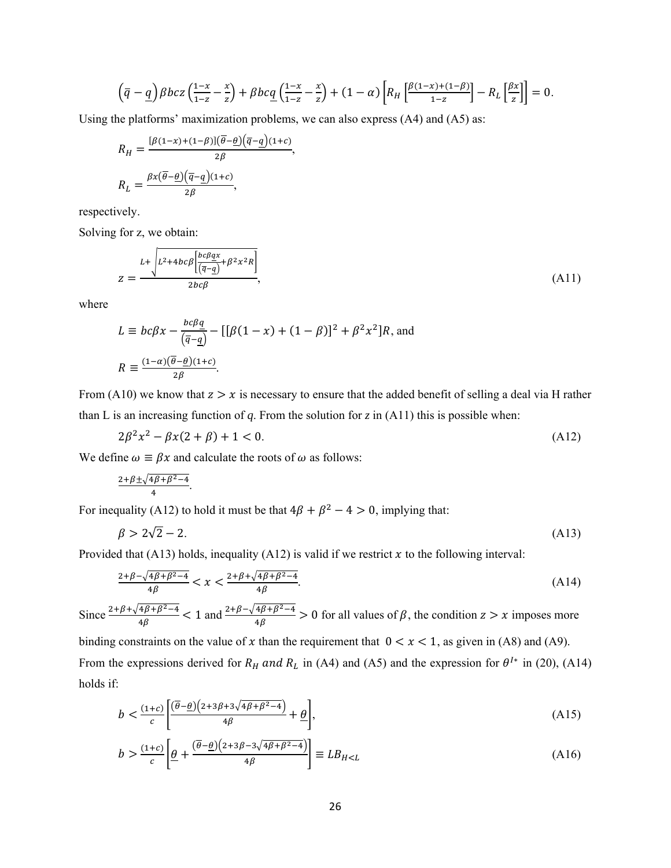$$
\left(\overline{q}-\underline{q}\right)\beta bcz\left(\frac{1-x}{1-z}-\frac{x}{z}\right)+\beta bc\underline{q}\left(\frac{1-x}{1-z}-\frac{x}{z}\right)+(1-\alpha)\left[R_H\left[\frac{\beta(1-x)+(1-\beta)}{1-z}\right]-R_L\left[\frac{\beta x}{z}\right]\right]=0.
$$

Using the platforms' maximization problems, we can also express (A4) and (A5) as:

$$
R_H = \frac{[\beta(1-x)+(1-\beta)](\overline{\theta}-\underline{\theta})(\overline{q}-\underline{q})(1+c)}{2\beta},
$$
  

$$
R_L = \frac{\beta x(\overline{\theta}-\underline{\theta})(\overline{q}-\underline{q})(1+c)}{2\beta},
$$

respectively.

Solving for z, we obtain:

$$
z = \frac{L + \sqrt{L^2 + 4bc\beta \left[\frac{bc\beta qx}{\left(\overline{q} - \underline{q}\right)} + \beta^2 x^2 R\right]}}{2bc\beta},
$$
\n(A11)

where

$$
L \equiv bc\beta x - \frac{bc\beta q}{(\overline{q} - \underline{q})} - [[\beta(1 - x) + (1 - \beta)]^2 + \beta^2 x^2]R
$$
, and  

$$
R \equiv \frac{(1 - \alpha)(\overline{\theta} - \underline{\theta})(1 + c)}{2\beta}.
$$

From (A10) we know that  $z > x$  is necessary to ensure that the added benefit of selling a deal via H rather than L is an increasing function of  $q$ . From the solution for  $z$  in (A11) this is possible when:

$$
2\beta^2 x^2 - \beta x (2 + \beta) + 1 < 0. \tag{A12}
$$

We define  $\omega \equiv \beta x$  and calculate the roots of  $\omega$  as follows:

$$
\frac{2+\beta\pm\sqrt{4\beta+\beta^2-4}}{4}.
$$

For inequality (A12) to hold it must be that  $4\beta + \beta^2 - 4 > 0$ , implying that:

$$
\beta > 2\sqrt{2} - 2. \tag{A13}
$$

Provided that (A13) holds, inequality (A12) is valid if we restrict  $x$  to the following interval:

$$
\frac{2+\beta-\sqrt{4\beta+\beta^2-4}}{4\beta} < x < \frac{2+\beta+\sqrt{4\beta+\beta^2-4}}{4\beta}.\tag{A14}
$$

Since  $\frac{2+\beta+\sqrt{4\beta+\beta^2-4}}{4\beta}$  < 1 and  $\frac{2+\beta-\sqrt{4\beta+\beta^2-4}}{4\beta}$  > 0 for all values of  $\beta$ , the condition  $z > x$  imposes more

binding constraints on the value of x than the requirement that  $0 < x < 1$ , as given in (A8) and (A9). From the expressions derived for  $R_H$  and  $R_L$  in (A4) and (A5) and the expression for  $\theta^{I*}$  in (20), (A14) holds if:

$$
b < \frac{(1+c)}{c} \left[ \frac{(\overline{\theta} - \underline{\theta})(2+3\beta+3\sqrt{4\beta+\beta^2-4})}{4\beta} + \underline{\theta} \right],\tag{A15}
$$

$$
b > \frac{(1+c)}{c} \left[ \underline{\theta} + \frac{(\overline{\theta} - \underline{\theta})(2 + 3\beta - 3\sqrt{4\beta + \beta^2 - 4})}{4\beta} \right] \equiv L B_{H < L}
$$
 (A16)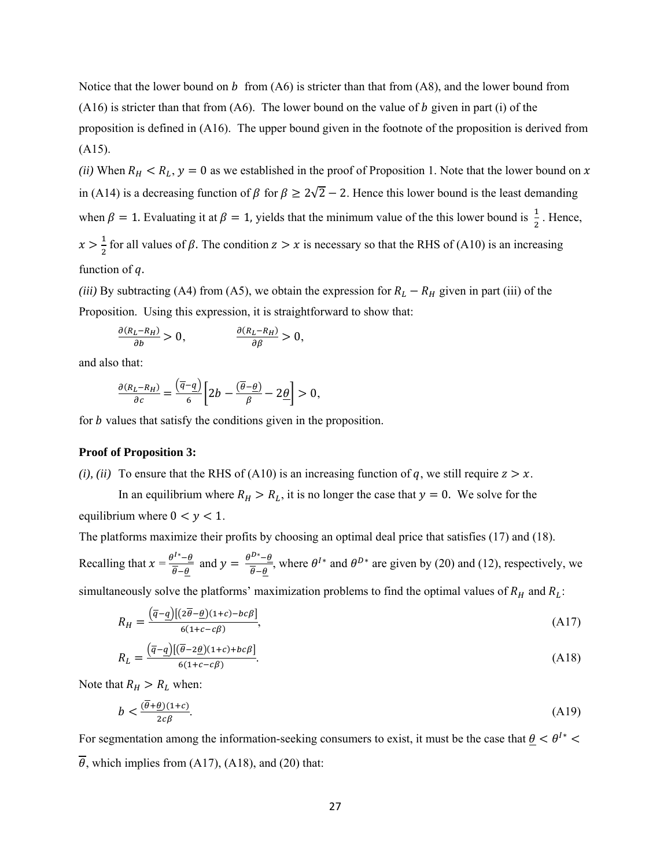Notice that the lower bound on b from  $(A6)$  is stricter than that from  $(A8)$ , and the lower bound from  $(A16)$  is stricter than that from  $(A6)$ . The lower bound on the value of b given in part (i) of the proposition is defined in (A16). The upper bound given in the footnote of the proposition is derived from (A15).

*(ii)* When  $R_H < R_L$ ,  $y = 0$  as we established in the proof of Proposition 1. Note that the lower bound on x in (A14) is a decreasing function of  $\beta$  for  $\beta \ge 2\sqrt{2} - 2$ . Hence this lower bound is the least demanding when  $\beta = 1$ . Evaluating it at  $\beta = 1$ , yields that the minimum value of the this lower bound is  $\frac{1}{2}$ . Hence,  $x > \frac{1}{2}$  for all values of  $\beta$ . The condition  $z > x$  is necessary so that the RHS of (A10) is an increasing function of  $q$ .

*(iii)* By subtracting (A4) from (A5), we obtain the expression for  $R_L - R_H$  given in part *(iii)* of the Proposition. Using this expression, it is straightforward to show that:

$$
\frac{\partial (R_L - R_H)}{\partial b} > 0, \qquad \frac{\partial (R_L - R_H)}{\partial \beta} > 0,
$$

and also that:

$$
\frac{\partial (R_L - R_H)}{\partial c} = \frac{(\overline{q} - \underline{q})}{6} \left[ 2b - \frac{(\overline{\theta} - \underline{\theta})}{\beta} - 2\underline{\theta} \right] > 0,
$$

for *b* values that satisfy the conditions given in the proposition.

#### **Proof of Proposition 3:**

*(i), (ii)* To ensure that the RHS of (A10) is an increasing function of q, we still require  $z > x$ .

In an equilibrium where  $R_H > R_L$ , it is no longer the case that  $y = 0$ . We solve for the equilibrium where  $0 < y < 1$ .

The platforms maximize their profits by choosing an optimal deal price that satisfies (17) and (18).

Recalling that  $x = \frac{\theta^{1*} - \theta}{\sqrt{2}}$  $\frac{\partial^{1*}-\theta}{\partial \theta}$  and  $y = \frac{\theta^{D*}-\theta}{\theta-\theta}$ , where  $\theta^{1*}$  and  $\theta^{D*}$  are given by (20) and (12), respectively, we

simultaneously solve the platforms' maximization problems to find the optimal values of  $R_H$  and  $R_L$ :

$$
R_H = \frac{(\overline{q} - \underline{q})[(2\overline{\theta} - \underline{\theta})(1+c) - bc\beta]}{6(1+c-c\beta)},
$$
\n(A17)

$$
R_L = \frac{(\overline{q} - \underline{q})[(\overline{\theta} - 2\underline{\theta})(1+c) + bc\beta]}{6(1+c-c\beta)}.
$$
\n(A18)

Note that  $R_H > R_L$  when:

$$
b < \frac{(\overline{\theta} + \underline{\theta})(1+c)}{2c\beta}.\tag{A19}
$$

For segmentation among the information-seeking consumers to exist, it must be the case that  $\theta < \theta^{1*}$  $\overline{\theta}$ , which implies from (A17), (A18), and (20) that: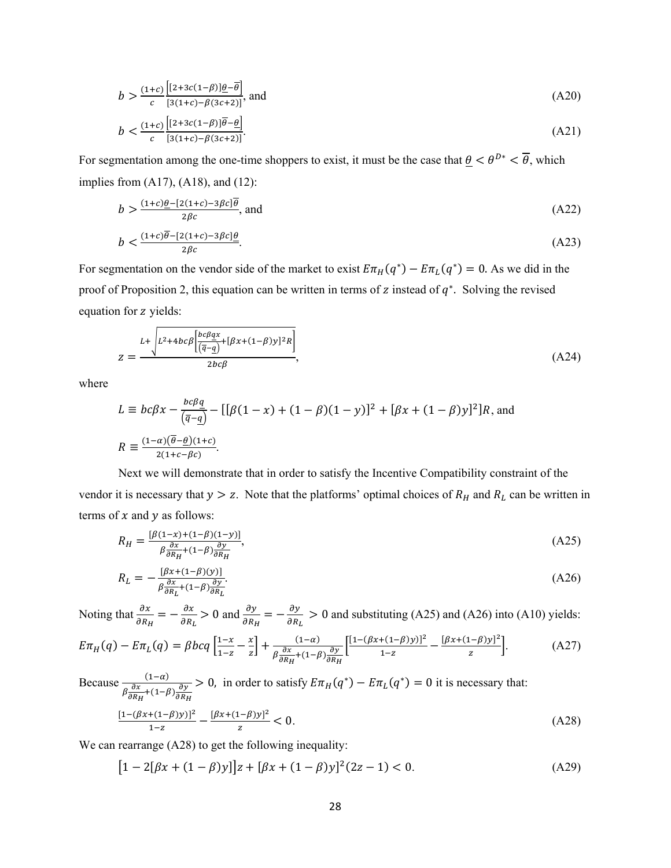$$
b > \frac{(1+c)\left[2+3c(1-\beta)\underline{\theta}-\overline{\theta}\right]}{c\left[3(1+c)-\beta(3c+2)\right]},
$$
 and (A20)

$$
b < \frac{(1+c)}{c} \frac{\left[ [2+3c(1-\beta)]\overline{\theta}-\underline{\theta} \right]}{\left[ 3(1+c) - \beta(3c+2) \right]}.\tag{A21}
$$

For segmentation among the one-time shoppers to exist, it must be the case that  $\underline{\theta} < \theta^{D*} < \overline{\theta}$ , which implies from (A17), (A18), and (12):

$$
b > \frac{(1+c)\underline{\theta} - [2(1+c) - 3\beta c]\overline{\theta}}{2\beta c}, \text{ and}
$$
\n
$$
(1+c)\overline{\theta} - [2(1+c) - 3\beta c]\theta
$$
\n
$$
(1+c)\overline{\theta} - [2(1+c) - 3\beta c]\theta
$$
\n
$$
(A22)
$$

$$
b < \frac{(1+c)\theta - [2(1+c) - 3\beta c] \underline{\theta}}{2\beta c}.\tag{A23}
$$

For segmentation on the vendor side of the market to exist  $E\pi_H(q^*) - E\pi_L(q^*) = 0$ . As we did in the proof of Proposition 2, this equation can be written in terms of z instead of  $q^*$ . Solving the revised equation for z yields:

$$
z = \frac{L + \sqrt{L^2 + 4bc\beta \left[\frac{bc\beta qx}{(\overline{q} - \underline{q})} + [\beta x + (1 - \beta)y]^2 R\right]}}{2bc\beta},
$$
\n(A24)

where

$$
L \equiv bc\beta x - \frac{bc\beta q}{(\overline{q}-q)} - [[\beta(1-x) + (1-\beta)(1-y)]^2 + [\beta x + (1-\beta)y]^2]R
$$
, and  

$$
R \equiv \frac{(1-\alpha)(\overline{\theta}-\underline{\theta})(1+c)}{2(1+c-\beta c)}.
$$

 Next we will demonstrate that in order to satisfy the Incentive Compatibility constraint of the vendor it is necessary that  $y > z$ . Note that the platforms' optimal choices of  $R_H$  and  $R_L$  can be written in terms of  $x$  and  $y$  as follows:

$$
R_H = \frac{\left[\beta(1-x)+(1-\beta)(1-y)\right]}{\beta\frac{\partial x}{\partial R_H}+(1-\beta)\frac{\partial y}{\partial R_H}},\tag{A25}
$$

$$
R_L = -\frac{\left[\beta x + (1-\beta)(y)\right]}{\beta \frac{\partial x}{\partial R_L} + (1-\beta)\frac{\partial y}{\partial R_L}}.\tag{A26}
$$

Noting that  $\frac{\partial x}{\partial R_H} = -\frac{\partial x}{\partial R_L} > 0$  and  $\frac{\partial y}{\partial R_H} = -\frac{\partial y}{\partial R_L} > 0$  and substituting (A25) and (A26) into (A10) yields:

$$
E\pi_H(q) - E\pi_L(q) = \beta bcq \left[ \frac{1-x}{1-z} - \frac{x}{z} \right] + \frac{(1-\alpha)}{\beta \frac{\partial x}{\partial R_H} + (1-\beta) \frac{\partial y}{\partial R_H}} \left[ \frac{[1 - (\beta x + (1-\beta)y)]^2}{1-z} - \frac{[\beta x + (1-\beta)y]^2}{z} \right].
$$
 (A27)

Because 
$$
\frac{(1-\alpha)}{\beta \frac{\partial x}{\partial R_H} + (1-\beta) \frac{\partial y}{\partial R_H}} > 0
$$
, in order to satisfy  $E\pi_H(q^*) - E\pi_L(q^*) = 0$  it is necessary that:  
\n
$$
\frac{[1 - (\beta x + (1-\beta)y)]^2}{1-z} - \frac{[\beta x + (1-\beta)y]^2}{z} < 0.
$$
\n(A28)

We can rearrange (A28) to get the following inequality:

$$
[1 - 2[\beta x + (1 - \beta)y]]z + [\beta x + (1 - \beta)y]^2(2z - 1) < 0. \tag{A29}
$$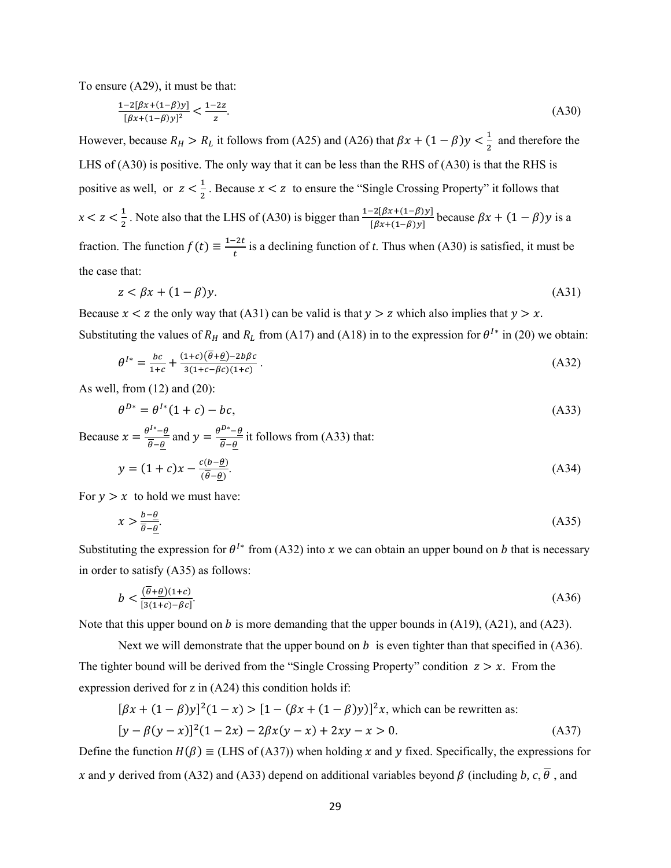To ensure (A29), it must be that:

$$
\frac{1-2[\beta x + (1-\beta)y]}{[\beta x + (1-\beta)y]^2} < \frac{1-2z}{z}.\tag{A30}
$$

However, because  $R_H > R_L$  it follows from (A25) and (A26) that  $\beta x + (1 - \beta)y < \frac{1}{2}$  and therefore the LHS of (A30) is positive. The only way that it can be less than the RHS of (A30) is that the RHS is positive as well, or  $z < \frac{1}{2}$ . Because  $x < z$  to ensure the "Single Crossing Property" it follows that  $x < z < \frac{1}{2}$ . Note also that the LHS of (A30) is bigger than  $\frac{1-2[\beta x+(1-\beta)y]}{[\beta x+(1-\beta)y]}$  because  $\beta x + (1-\beta)y$  is a fraction. The function  $f(t) \equiv \frac{1-2t}{t}$  is a declining function of *t*. Thus when (A30) is satisfied, it must be the case that:

$$
z < \beta x + (1 - \beta)y. \tag{A31}
$$

Because  $x < z$  the only way that (A31) can be valid is that  $y > z$  which also implies that  $y > x$ . Substituting the values of  $R_H$  and  $R_L$  from (A17) and (A18) in to the expression for  $\theta^{I*}$  in (20) we obtain:

$$
\theta^{I*} = \frac{bc}{1+c} + \frac{(1+c)(\overline{\theta} + \underline{\theta}) - 2b\beta c}{3(1+c - \beta c)(1+c)}.
$$
\n(A32)

As well, from (12) and (20):

$$
\theta^{D*} = \theta^{I*}(1+c) - bc,\tag{A33}
$$

Because  $x = \frac{\theta^{1*} - \theta}{\sqrt{2}}$  $\frac{\partial^{1*}-\theta}{\partial \theta}$  and  $y = \frac{\theta^{D*}-\theta}{\partial \theta}$  it follows from (A33) that:

$$
y = (1+c)x - \frac{c(b-\underline{\theta})}{(\overline{\theta}-\underline{\theta})}.
$$
\n(A34)

For  $y > x$  to hold we must have:

$$
x > \frac{b - \theta}{\overline{\theta} - \underline{\theta}}.\tag{A35}
$$

Substituting the expression for  $\theta^{I*}$  from (A32) into x we can obtain an upper bound on b that is necessary in order to satisfy (A35) as follows:

$$
b < \frac{(\overline{\theta} + \underline{\theta})(1+c)}{[3(1+c) - \beta c]}.\tag{A36}
$$

Note that this upper bound on b is more demanding that the upper bounds in  $(A19)$ ,  $(A21)$ , and  $(A23)$ .

Next we will demonstrate that the upper bound on  $b$  is even tighter than that specified in (A36). The tighter bound will be derived from the "Single Crossing Property" condition  $z > x$ . From the expression derived for z in (A24) this condition holds if:

$$
[\beta x + (1 - \beta)y]^2 (1 - x) > [1 - (\beta x + (1 - \beta)y)]^2 x
$$
, which can be rewritten as:  

$$
[y - \beta(y - x)]^2 (1 - 2x) - 2\beta x (y - x) + 2xy - x > 0.
$$
 (A37)

Define the function  $H(\beta) \equiv$  (LHS of (A37)) when holding x and y fixed. Specifically, the expressions for x and y derived from (A32) and (A33) depend on additional variables beyond  $\beta$  (including b, c,  $\overline{\theta}$ , and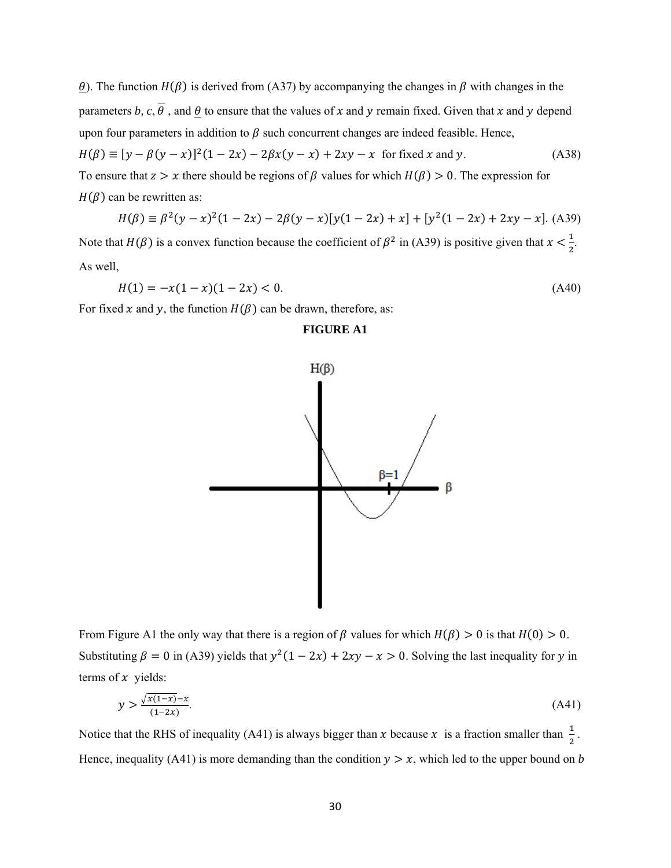$\theta$ ). The function  $H(\beta)$  is derived from (A37) by accompanying the changes in  $\beta$  with changes in the parameters *b*,  $c, \overline{\theta}$ , and  $\theta$  to ensure that the values of x and y remain fixed. Given that x and y depend upon four parameters in addition to  $\beta$  such concurrent changes are indeed feasible. Hence,  $H(\beta) \equiv [y - \beta(y - x)]^2 (1 - 2x) - 2\beta x (y - x) + 2xy - x$  for fixed x and y. (A38) To ensure that  $z > x$  there should be regions of  $\beta$  values for which  $H(\beta) > 0$ . The expression for  $H(\beta)$  can be rewritten as:

$$
H(\beta) \equiv \beta^2(y - x)^2(1 - 2x) - 2\beta(y - x)[y(1 - 2x) + x] + [y^2(1 - 2x) + 2xy - x].
$$
 (A39)

Note that  $H(\beta)$  is a convex function because the coefficient of  $\beta^2$  in (A39) is positive given that  $x < \frac{1}{2}$ . As well,

$$
H(1) = -x(1-x)(1-2x) < 0. \tag{A40}
$$

For fixed x and y, the function  $H(\beta)$  can be drawn, therefore, as:

# **FIGURE A1**



From Figure A1 the only way that there is a region of  $\beta$  values for which  $H(\beta) > 0$  is that  $H(0) > 0$ . Substituting  $\beta = 0$  in (A39) yields that  $y^2(1 - 2x) + 2xy - x > 0$ . Solving the last inequality for y in terms of  $x$  yields:

$$
y > \frac{\sqrt{x(1-x)} - x}{(1-2x)}.\tag{A41}
$$

Notice that the RHS of inequality (A41) is always bigger than x because x is a fraction smaller than  $\frac{1}{2}$ . Hence, inequality (A41) is more demanding than the condition  $y > x$ , which led to the upper bound on *b*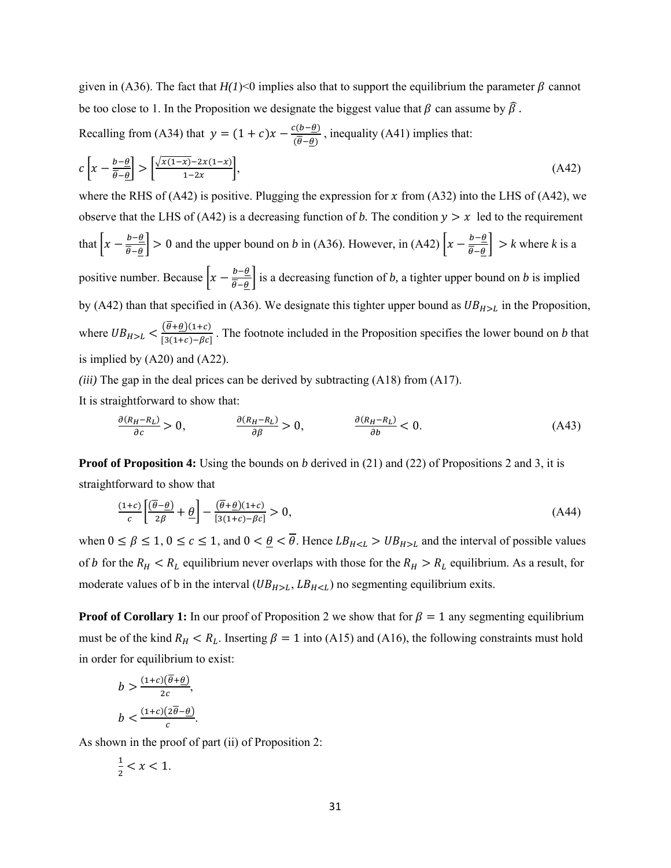given in (A36). The fact that  $H(1)$ <0 implies also that to support the equilibrium the parameter  $\beta$  cannot be too close to 1. In the Proposition we designate the biggest value that  $\beta$  can assume by  $\widehat{\beta}$ .

Recalling from (A34) that  $y = (1 + c)x - \frac{c(b-\theta)}{(\theta-\theta)}$ , inequality (A41) implies that:

$$
c\left[x - \frac{b - \underline{\theta}}{\overline{\theta} - \underline{\theta}}\right] > \left[\frac{\sqrt{x(1 - x)} - 2x(1 - x)}{1 - 2x}\right],\tag{A42}
$$

where the RHS of (A42) is positive. Plugging the expression for x from (A32) into the LHS of (A42), we observe that the LHS of (A42) is a decreasing function of *b*. The condition  $y > x$  led to the requirement that  $\left| x - \frac{b - \theta}{\overline{\theta} - \theta} \right| > 0$  and the upper bound on *b* in (A36). However, in (A42)  $\left| x - \frac{b - \theta}{\overline{\theta} - \theta} \right| > k$  where *k* is a positive number. Because  $\left[x - \frac{b-\theta}{\theta-\theta}\right]$  is a decreasing function of *b*, a tighter upper bound on *b* is implied by (A42) than that specified in (A36). We designate this tighter upper bound as  $UB_{H>L}$  in the Proposition, where  $UB_{H>L} < \frac{(\theta + \underline{\theta})(1+c)}{[3(1+c)-\beta c]}$ . The footnote included in the Proposition specifies the lower bound on *b* that is implied by (A20) and (A22).

*(iii)* The gap in the deal prices can be derived by subtracting (A18) from (A17).

It is straightforward to show that:

$$
\frac{\partial (R_H - R_L)}{\partial c} > 0, \qquad \frac{\partial (R_H - R_L)}{\partial \beta} > 0, \qquad \frac{\partial (R_H - R_L)}{\partial b} < 0. \tag{A43}
$$

**Proof of Proposition 4:** Using the bounds on *b* derived in (21) and (22) of Propositions 2 and 3, it is straightforward to show that

$$
\frac{(1+c)}{c} \left[ \frac{(\overline{\theta} - \underline{\theta})}{2\beta} + \underline{\theta} \right] - \frac{(\overline{\theta} + \underline{\theta})(1+c)}{[3(1+c) - \beta c]} > 0,
$$
\n(A44)

when  $0 \le \beta \le 1$ ,  $0 \le c \le 1$ , and  $0 < \underline{\theta} < \overline{\theta}$ . Hence  $LB_{H \le L} > UB_{H \ge L}$  and the interval of possible values of *b* for the  $R_H < R_L$  equilibrium never overlaps with those for the  $R_H > R_L$  equilibrium. As a result, for moderate values of b in the interval  $(UB_{H>L}, LB_{H no segmenting equilibrium exits.$ 

**Proof of Corollary 1:** In our proof of Proposition 2 we show that for  $\beta = 1$  any segmenting equilibrium must be of the kind  $R_H < R_L$ . Inserting  $\beta = 1$  into (A15) and (A16), the following constraints must hold in order for equilibrium to exist:

$$
b > \frac{(1+c)(\overline{\theta} + \underline{\theta})}{2c},
$$
  

$$
b < \frac{(1+c)(2\overline{\theta} - \underline{\theta})}{c}.
$$

As shown in the proof of part (ii) of Proposition 2:

$$
\frac{1}{2} < x < 1.
$$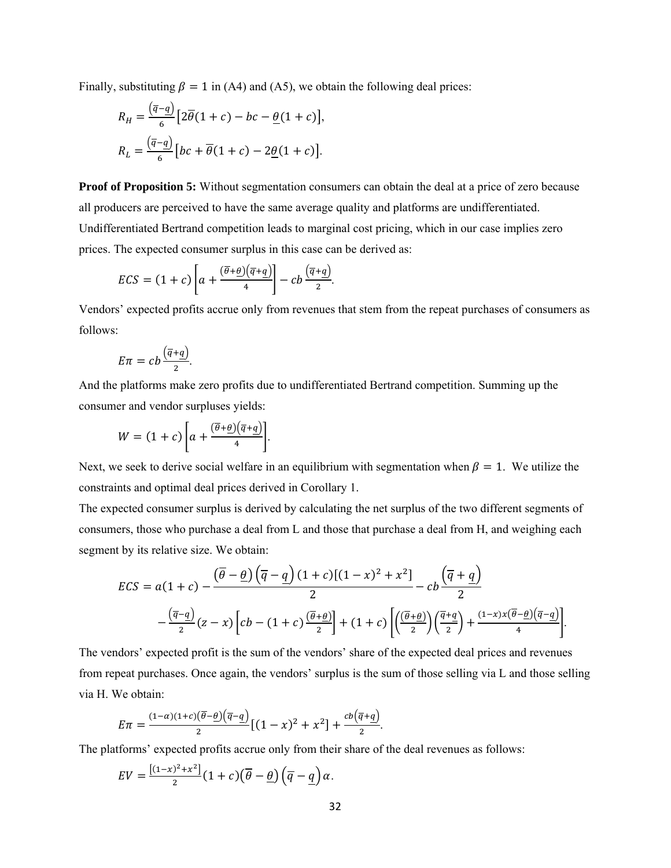Finally, substituting  $\beta = 1$  in (A4) and (A5), we obtain the following deal prices:

$$
R_H = \frac{(\overline{q} - \underline{q})}{6} \left[ 2\overline{\theta}(1+c) - bc - \underline{\theta}(1+c) \right],
$$
  

$$
R_L = \frac{(\overline{q} - \underline{q})}{6} \left[ bc + \overline{\theta}(1+c) - 2\underline{\theta}(1+c) \right].
$$

**Proof of Proposition 5:** Without segmentation consumers can obtain the deal at a price of zero because all producers are perceived to have the same average quality and platforms are undifferentiated. Undifferentiated Bertrand competition leads to marginal cost pricing, which in our case implies zero prices. The expected consumer surplus in this case can be derived as:

$$
ECS = (1 + c) \left[ a + \frac{(\overline{\theta} + \underline{\theta})(\overline{q} + \underline{q})}{4} \right] - cb \frac{(\overline{q} + \underline{q})}{2}.
$$

Vendors' expected profits accrue only from revenues that stem from the repeat purchases of consumers as follows:

$$
E\pi = cb\frac{\left(\overline{q}+q\right)}{2}.
$$

And the platforms make zero profits due to undifferentiated Bertrand competition. Summing up the consumer and vendor surpluses yields:

$$
W = (1 + c) \left[ a + \frac{(\overline{\theta} + \underline{\theta})(\overline{q} + \underline{q})}{4} \right].
$$

Next, we seek to derive social welfare in an equilibrium with segmentation when  $\beta = 1$ . We utilize the constraints and optimal deal prices derived in Corollary 1.

The expected consumer surplus is derived by calculating the net surplus of the two different segments of consumers, those who purchase a deal from L and those that purchase a deal from H, and weighing each segment by its relative size. We obtain:

$$
ECS = a(1 + c) - \frac{(\overline{\theta} - \underline{\theta})(\overline{q} - \underline{q})(1 + c)[(1 - x)^2 + x^2]}{2} - cb \frac{(\overline{q} + \underline{q})}{2}
$$

$$
-\frac{(\overline{q} - \underline{q})}{2}(z - x)\left[cb - (1 + c)\frac{(\overline{\theta} + \underline{\theta})}{2}\right] + (1 + c)\left[\left(\frac{(\overline{\theta} + \underline{\theta})}{2}\right)\left(\frac{\overline{q} + \underline{q}}{2}\right) + \frac{(1 - x)x(\overline{\theta} - \underline{\theta})(\overline{q} - \underline{q})}{4}\right].
$$

The vendors' expected profit is the sum of the vendors' share of the expected deal prices and revenues from repeat purchases. Once again, the vendors' surplus is the sum of those selling via L and those selling via H. We obtain:

$$
E\pi = \frac{(1-\alpha)(1+c)(\overline{\theta}-\underline{\theta})(\overline{q}-\underline{q})}{2}[(1-x)^2 + x^2] + \frac{cb(\overline{q}+\underline{q})}{2}.
$$

The platforms' expected profits accrue only from their share of the deal revenues as follows:

$$
EV = \frac{[(1-x)^2 + x^2]}{2}(1+c)\left(\overline{\theta} - \underline{\theta}\right)\left(\overline{q} - \underline{q}\right)\alpha.
$$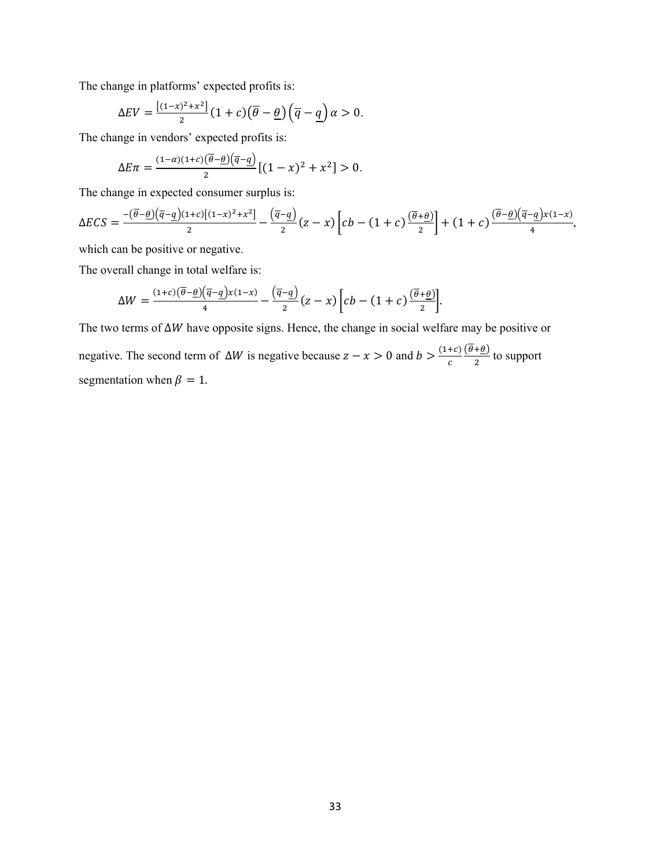The change in platforms' expected profits is:

$$
\Delta EV = \frac{[(1-x)^2 + x^2]}{2} (1+c) (\overline{\theta} - \underline{\theta}) (\overline{q} - \underline{q}) \alpha > 0.
$$

The change in vendors' expected profits is:

$$
\Delta E \pi = \frac{(1-\alpha)(1+c)\left(\overline{\theta}-\underline{\theta}\right)\left(\overline{q}-\underline{q}\right)}{2} \left[ (1-x)^2 + x^2 \right] > 0.
$$

The change in expected consumer surplus is:

$$
\Delta ECS = \frac{-(\overline{\theta}-\underline{\theta})(\overline{q}-\underline{q})(1+c)[(1-x)^2+x^2]}{2} - \frac{(\overline{q}-\underline{q})}{2}(z-x)\left[cb - (1+c)\frac{(\overline{\theta}+\underline{\theta})}{2}\right] + (1+c)\frac{(\overline{\theta}-\underline{\theta})(\overline{q}-\underline{q})x(1-x)}{4},
$$

which can be positive or negative.

The overall change in total welfare is:

$$
\Delta W = \frac{(1+c)(\overline{\theta}-\underline{\theta})(\overline{q}-q)x(1-x)}{4} - \frac{(\overline{q}-q)}{2}(z-x)\left[cb - (1+c)\frac{(\overline{\theta}+\underline{\theta})}{2}\right].
$$

The two terms of ∆*W* have opposite signs. Hence, the change in social welfare may be positive or negative. The second term of  $\Delta W$  is negative because  $z - x > 0$  and  $b > \frac{(1+c)}{c}$  $\frac{(\theta+\underline{\theta})}{2}$  to support segmentation when  $\beta = 1$ .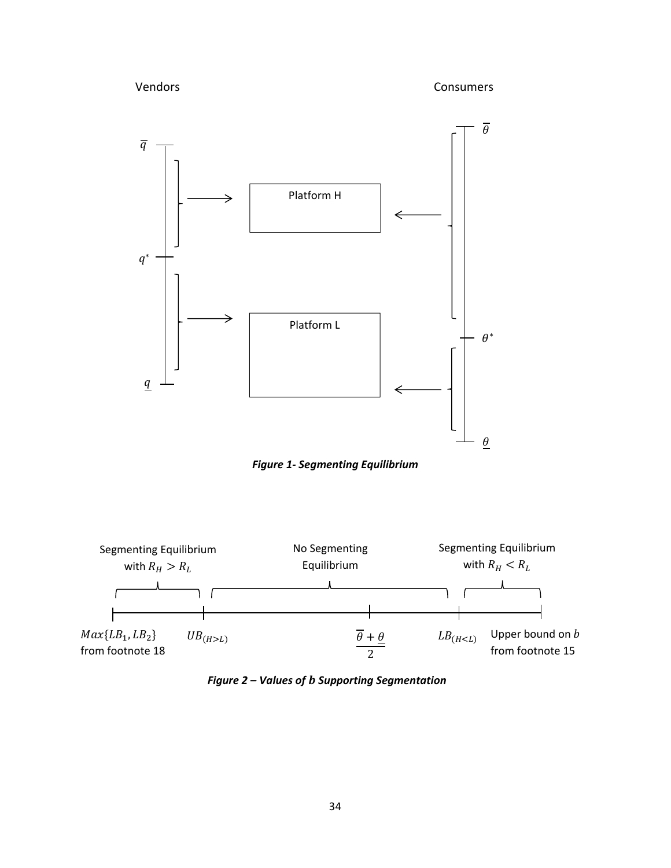Vendors Consumers



*Figure 1‐ Segmenting Equilibrium*



*Figure 2 – Values of* ࢈ *Supporting Segmentation*